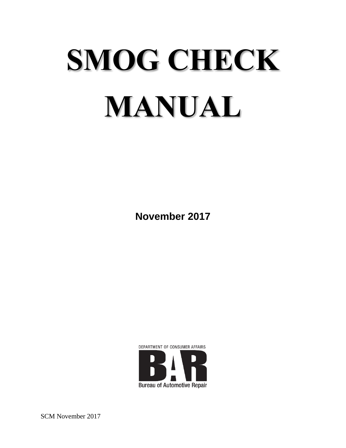# **SMOG CHECK MANUAL**

**November 2017**



SCM November 2017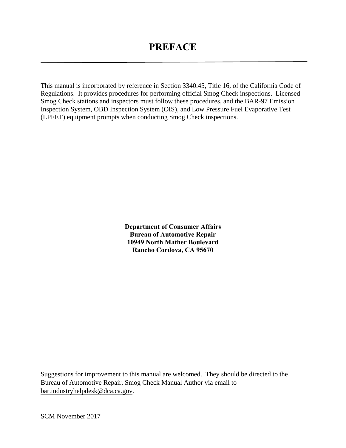This manual is incorporated by reference in Section 3340.45, Title 16, of the California Code of Regulations. It provides procedures for performing official Smog Check inspections. Licensed Smog Check stations and inspectors must follow these procedures, and the BAR-97 Emission Inspection System, OBD Inspection System (OIS), and Low Pressure Fuel Evaporative Test (LPFET) equipment prompts when conducting Smog Check inspections.

> **Department of Consumer Affairs Bureau of Automotive Repair 10949 North Mather Boulevard Rancho Cordova, CA 95670**

Suggestions for improvement to this manual are welcomed. They should be directed to the Bureau of Automotive Repair, Smog Check Manual Author via email to [bar.industryhelpdesk@dca.ca.gov](mailto:bar.industryhelpdesk@dca.ca.gov).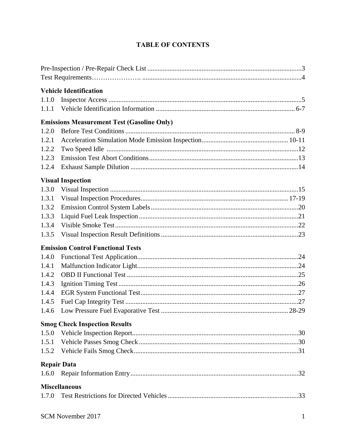|       | <b>Vehicle Identification</b>                     |  |
|-------|---------------------------------------------------|--|
| 1.1.0 |                                                   |  |
| 1.1.1 |                                                   |  |
|       | <b>Emissions Measurement Test (Gasoline Only)</b> |  |
| 1.2.0 |                                                   |  |
| 1.2.1 |                                                   |  |
| 1.2.2 |                                                   |  |
| 1.2.3 |                                                   |  |
| 1.2.4 |                                                   |  |
|       | <b>Visual Inspection</b>                          |  |
| 1.3.0 |                                                   |  |
| 1.3.1 |                                                   |  |
| 1.3.2 |                                                   |  |
| 1.3.3 |                                                   |  |
| 1.3.4 |                                                   |  |
| 1.3.5 |                                                   |  |
|       | <b>Emission Control Functional Tests</b>          |  |
| 1.4.0 |                                                   |  |
| 1.4.1 |                                                   |  |
| 1.4.2 |                                                   |  |
| 1.4.3 |                                                   |  |
| 1.4.4 |                                                   |  |
| 1.4.5 |                                                   |  |
| 1.4.6 |                                                   |  |
|       | <b>Smog Check Inspection Results</b>              |  |
| 1.5.0 |                                                   |  |
| 1.5.1 |                                                   |  |
| 1.5.2 |                                                   |  |
|       | <b>Repair Data</b>                                |  |
| 1.6.0 |                                                   |  |
|       | <b>Miscellaneous</b>                              |  |
| 1.7.0 |                                                   |  |
|       |                                                   |  |

#### **TABLE OF CONTENTS**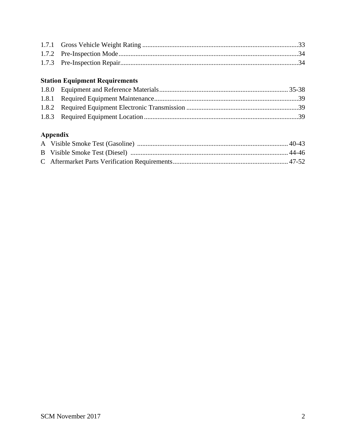#### **Station Equipment Requirements**

# Appendix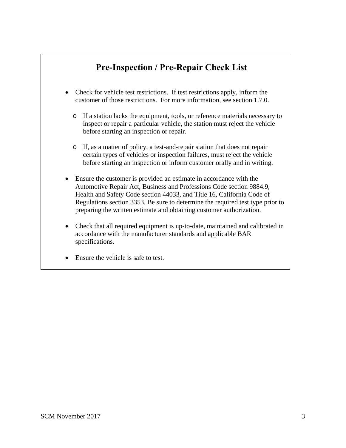# **Pre-Inspection / Pre-Repair Check List**

- <span id="page-4-0"></span>• Check for vehicle test restrictions. If test restrictions apply, inform the customer of those restrictions. For more information, see section 1.7.0.
	- o If a station lacks the equipment, tools, or reference materials necessary to inspect or repair a particular vehicle, the station must reject the vehicle before starting an inspection or repair.
	- o If, as a matter of policy, a test-and-repair station that does not repair certain types of vehicles or inspection failures, must reject the vehicle before starting an inspection or inform customer orally and in writing.
- Ensure the customer is provided an estimate in accordance with the Automotive Repair Act, Business and Professions Code section 9884.9, Health and Safety Code section 44033, and Title 16, California Code of Regulations section 3353. Be sure to determine the required test type prior to preparing the written estimate and obtaining customer authorization.
- Check that all required equipment is up-to-date, maintained and calibrated in accordance with the manufacturer standards and applicable BAR specifications.
- Ensure the vehicle is safe to test.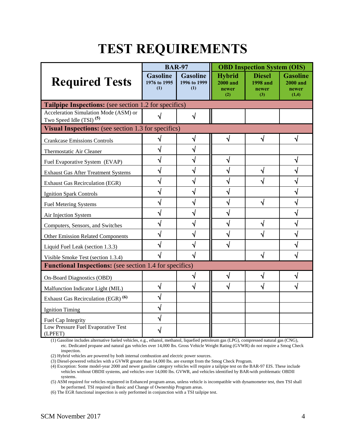# **TEST REQUIREMENTS**

<span id="page-5-0"></span>

|                                                                              | <b>BAR-97</b>                          |                                        | <b>OBD Inspection System (OIS)</b>               |                                                  |                                                      |  |
|------------------------------------------------------------------------------|----------------------------------------|----------------------------------------|--------------------------------------------------|--------------------------------------------------|------------------------------------------------------|--|
| <b>Required Tests</b>                                                        | <b>Gasoline</b><br>1976 to 1995<br>(1) | <b>Gasoline</b><br>1996 to 1999<br>(1) | <b>Hybrid</b><br><b>2000 and</b><br>newer<br>(2) | <b>Diesel</b><br><b>1998</b> and<br>newer<br>(3) | <b>Gasoline</b><br><b>2000 and</b><br>newer<br>(1,4) |  |
| <b>Tailpipe Inspections:</b> (see section 1.2 for specifics)                 |                                        |                                        |                                                  |                                                  |                                                      |  |
| Acceleration Simulation Mode (ASM) or<br>Two Speed Idle (TSI) <sup>(5)</sup> | √                                      | √                                      |                                                  |                                                  |                                                      |  |
| Visual Inspections: (see section 1.3 for specifics)                          |                                        |                                        |                                                  |                                                  |                                                      |  |
| <b>Crankcase Emissions Controls</b>                                          | √                                      | $\sqrt{}$                              | √                                                | √                                                | √                                                    |  |
| Thermostatic Air Cleaner                                                     |                                        |                                        |                                                  |                                                  |                                                      |  |
| Fuel Evaporative System (EVAP)                                               |                                        |                                        |                                                  |                                                  | ٧                                                    |  |
| <b>Exhaust Gas After Treatment Systems</b>                                   | V                                      |                                        |                                                  | √                                                | √                                                    |  |
| <b>Exhaust Gas Recirculation (EGR)</b>                                       | V                                      |                                        |                                                  |                                                  | √                                                    |  |
| <b>Ignition Spark Controls</b>                                               |                                        |                                        |                                                  |                                                  | Ń                                                    |  |
| <b>Fuel Metering Systems</b>                                                 |                                        |                                        |                                                  | √                                                | Ń                                                    |  |
| Air Injection System                                                         |                                        |                                        |                                                  |                                                  | √                                                    |  |
| Computers, Sensors, and Switches                                             |                                        |                                        |                                                  |                                                  | √                                                    |  |
| <b>Other Emission Related Components</b>                                     |                                        |                                        |                                                  |                                                  | √                                                    |  |
| Liquid Fuel Leak (section 1.3.3)                                             |                                        |                                        |                                                  |                                                  |                                                      |  |
| Visible Smoke Test (section 1.3.4)                                           |                                        |                                        |                                                  |                                                  |                                                      |  |
| <b>Functional Inspections:</b> (see section 1.4 for specifics)               |                                        |                                        |                                                  |                                                  |                                                      |  |
| <b>On-Board Diagnostics (OBD)</b>                                            |                                        | V                                      | V                                                |                                                  | ٧                                                    |  |
| Malfunction Indicator Light (MIL)                                            | ٦I                                     |                                        |                                                  |                                                  |                                                      |  |
| Exhaust Gas Recirculation (EGR) <sup>(6)</sup>                               | V                                      |                                        |                                                  |                                                  |                                                      |  |
| <b>Ignition Timing</b>                                                       |                                        |                                        |                                                  |                                                  |                                                      |  |
| Fuel Cap Integrity                                                           |                                        |                                        |                                                  |                                                  |                                                      |  |
| Low Pressure Fuel Evaporative Test<br>(LPFET)                                |                                        |                                        |                                                  |                                                  |                                                      |  |

(1) Gasoline includes alternative fueled vehicles, e.g., ethanol, methanol, liquefied petroleum gas (LPG), compressed natural gas (CNG), etc. Dedicated propane and natural gas vehicles over 14,000 lbs. Gross Vehicle Weight Rating (GVWR) do not require a Smog Check inspection.

(2) Hybrid vehicles are powered by both internal combustion and electric power sources.

(3) Diesel-powered vehicles with a GVWR greater than 14,000 lbs. are exempt from the Smog Check Program.

(4) Exception: Some model-year 2000 and newer gasoline category vehicles will require a tailpipe test on the BAR-97 EIS. These include vehicles without OBDII systems, and vehicles over 14,000 lbs. GVWR, and vehicles identified by BAR with problematic OBDII systems.

(5) ASM required for vehicles registered in Enhanced program areas, unless vehicle is incompatible with dynamometer test, then TSI shall be performed. TSI required in Basic and Change of Ownership Program areas.

(6) The EGR functional inspection is only performed in conjunction with a TSI tailpipe test.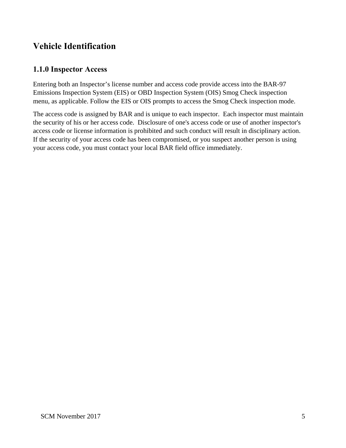# <span id="page-6-0"></span>**Vehicle Identification**

#### **1.1.0 Inspector Access**

Entering both an Inspector's license number and access code provide access into the BAR-97 Emissions Inspection System (EIS) or OBD Inspection System (OIS) Smog Check inspection menu, as applicable. Follow the EIS or OIS prompts to access the Smog Check inspection mode.

The access code is assigned by BAR and is unique to each inspector. Each inspector must maintain the security of his or her access code. Disclosure of one's access code or use of another inspector's access code or license information is prohibited and such conduct will result in disciplinary action. If the security of your access code has been compromised, or you suspect another person is using your access code, you must contact your local BAR field office immediately.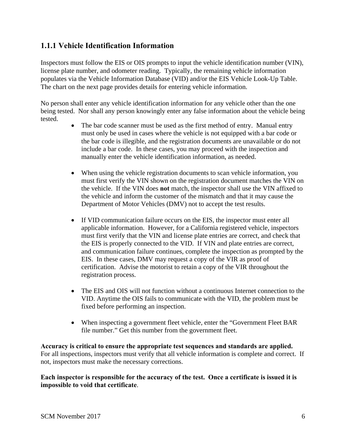#### <span id="page-7-0"></span>**1.1.1 Vehicle Identification Information**

Inspectors must follow the EIS or OIS prompts to input the vehicle identification number (VIN), license plate number, and odometer reading. Typically, the remaining vehicle information populates via the Vehicle Information Database (VID) and/or the EIS Vehicle Look-Up Table. The chart on the next page provides details for entering vehicle information.

No person shall enter any vehicle identification information for any vehicle other than the one being tested. Nor shall any person knowingly enter any false information about the vehicle being tested.

- The bar code scanner must be used as the first method of entry. Manual entry must only be used in cases where the vehicle is not equipped with a bar code or the bar code is illegible, and the registration documents are unavailable or do not include a bar code. In these cases, you may proceed with the inspection and manually enter the vehicle identification information, as needed.
- When using the vehicle registration documents to scan vehicle information, you must first verify the VIN shown on the registration document matches the VIN on the vehicle. If the VIN does **not** match, the inspector shall use the VIN affixed to the vehicle and inform the customer of the mismatch and that it may cause the Department of Motor Vehicles (DMV) not to accept the test results.
- If VID communication failure occurs on the EIS, the inspector must enter all applicable information. However, for a California registered vehicle, inspectors must first verify that the VIN and license plate entries are correct, and check that the EIS is properly connected to the VID. If VIN and plate entries are correct, and communication failure continues, complete the inspection as prompted by the EIS. In these cases, DMV may request a copy of the VIR as proof of certification. Advise the motorist to retain a copy of the VIR throughout the registration process.
- The EIS and OIS will not function without a continuous Internet connection to the VID. Anytime the OIS fails to communicate with the VID, the problem must be fixed before performing an inspection.
- When inspecting a government fleet vehicle, enter the "Government Fleet BAR file number." Get this number from the government fleet.

**Accuracy is critical to ensure the appropriate test sequences and standards are applied.**  For all inspections, inspectors must verify that all vehicle information is complete and correct. If not, inspectors must make the necessary corrections.

**Each inspector is responsible for the accuracy of the test. Once a certificate is issued it is impossible to void that certificate**.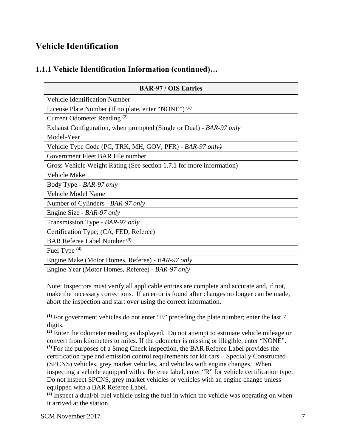# **Vehicle Identification**

#### **1.1.1 Vehicle Identification Information (continued)…**

| <b>BAR-97 / OIS Entries</b>                                          |
|----------------------------------------------------------------------|
| <b>Vehicle Identification Number</b>                                 |
| License Plate Number (If no plate, enter "NONE") <sup>(1)</sup>      |
| Current Odometer Reading <sup>(2)</sup>                              |
| Exhaust Configuration, when prompted (Single or Dual) - BAR-97 only  |
| Model-Year                                                           |
| Vehicle Type Code (PC, TRK, MH, GOV, PFR) - BAR-97 only)             |
| Government Fleet BAR File number                                     |
| Gross Vehicle Weight Rating (See section 1.7.1 for more information) |
| Vehicle Make                                                         |
| Body Type - BAR-97 only                                              |
| Vehicle Model Name                                                   |
| Number of Cylinders - BAR-97 only                                    |
| Engine Size - BAR-97 only                                            |
| Transmission Type - BAR-97 only                                      |
| Certification Type; (CA, FED, Referee)                               |
| <b>BAR Referee Label Number (3)</b>                                  |
| Fuel Type <sup>(4)</sup>                                             |
| Engine Make (Motor Homes, Referee) - BAR-97 only                     |
| Engine Year (Motor Homes, Referee) - BAR-97 only                     |

Note: Inspectors must verify all applicable entries are complete and accurate and, if not, make the necessary corrections. If an error is found after changes no longer can be made, abort the inspection and start over using the correct information.

**(1)** For government vehicles do not enter "E" preceding the plate number; enter the last 7 digits.

**(2)** Enter the odometer reading as displayed. Do not attempt to estimate vehicle mileage or convert from kilometers to miles. If the odometer is missing or illegible, enter "NONE". **(3)** For the purposes of a Smog Check inspection, the BAR Referee Label provides the certification type and emission control requirements for kit cars – Specially Constructed (SPCNS) vehicles, grey market vehicles, and vehicles with engine changes. When inspecting a vehicle equipped with a Referee label, enter "R" for vehicle certification type. Do not inspect SPCNS, grey market vehicles or vehicles with an engine change unless equipped with a BAR Referee Label.

**(4)** Inspect a dual/bi-fuel vehicle using the fuel in which the vehicle was operating on when it arrived at the station.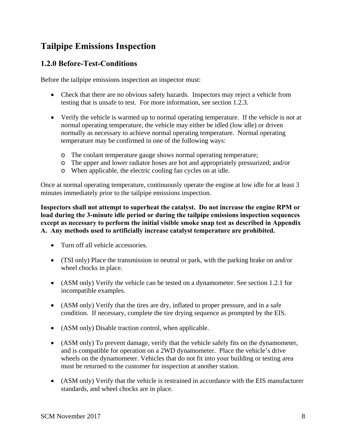#### <span id="page-9-0"></span>**1.2.0 Before-Test-Conditions**

Before the tailpipe emissions inspection an inspector must:

- Check that there are no obvious safety hazards. Inspectors may reject a vehicle from testing that is unsafe to test. For more information, see section 1.2.3.
- Verify the vehicle is warmed up to normal operating temperature. If the vehicle is not at normal operating temperature, the vehicle may either be idled (low idle) or driven normally as necessary to achieve normal operating temperature. Normal operating temperature may be confirmed in one of the following ways:
	- o The coolant temperature gauge shows normal operating temperature;
	- o The upper and lower radiator hoses are hot and appropriately pressurized; and/or
	- o When applicable, the electric cooling fan cycles on at idle.

Once at normal operating temperature, continuously operate the engine at low idle for at least 3 minutes immediately prior to the tailpipe emissions inspection.

**Inspectors shall not attempt to superheat the catalyst. Do not increase the engine RPM or load during the 3-minute idle period or during the tailpipe emissions inspection sequences except as necessary to perform the initial visible smoke snap test as described in Appendix A. Any methods used to artificially increase catalyst temperature are prohibited.**

- Turn off all vehicle accessories.
- (TSI only) Place the transmission in neutral or park, with the parking brake on and/or wheel chocks in place.
- (ASM only) Verify the vehicle can be tested on a dynamometer. See section 1.2.1 for incompatible examples.
- (ASM only) Verify that the tires are dry, inflated to proper pressure, and in a safe condition. If necessary, complete the tire drying sequence as prompted by the EIS.
- (ASM only) Disable traction control, when applicable.
- (ASM only) To prevent damage, verify that the vehicle safely fits on the dynamometer, and is compatible for operation on a 2WD dynamometer. Place the vehicle's drive wheels on the dynamometer. Vehicles that do not fit into your building or testing area must be returned to the customer for inspection at another station.
- (ASM only) Verify that the vehicle is restrained in accordance with the EIS manufacturer standards, and wheel chocks are in place.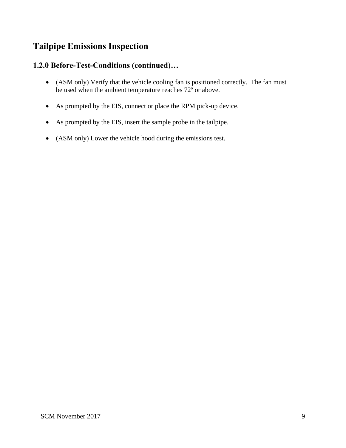#### **1.2.0 Before-Test-Conditions (continued)…**

- (ASM only) Verify that the vehicle cooling fan is positioned correctly. The fan must be used when the ambient temperature reaches 72º or above.
- As prompted by the EIS, connect or place the RPM pick-up device.
- As prompted by the EIS, insert the sample probe in the tailpipe.
- (ASM only) Lower the vehicle hood during the emissions test.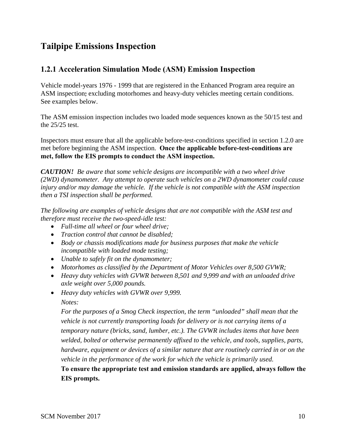#### <span id="page-11-0"></span>**1.2.1 Acceleration Simulation Mode (ASM) Emission Inspection**

Vehicle model-years 1976 - 1999 that are registered in the Enhanced Program area require an ASM inspection; excluding motorhomes and heavy-duty vehicles meeting certain conditions. See examples below.

The ASM emission inspection includes two loaded mode sequences known as the 50/15 test and the 25/25 test.

Inspectors must ensure that all the applicable before-test-conditions specified in section 1.2.0 are met before beginning the ASM inspection. **Once the applicable before-test-conditions are met, follow the EIS prompts to conduct the ASM inspection.** 

*CAUTION! Be aware that some vehicle designs are incompatible with a two wheel drive (2WD) dynamometer. Any attempt to operate such vehicles on a 2WD dynamometer could cause injury and/or may damage the vehicle. If the vehicle is not compatible with the ASM inspection then a TSI inspection shall be performed.* 

*The following are examples of vehicle designs that are not compatible with the ASM test and therefore must receive the two-speed-idle test:* 

- *Full-time all wheel or four wheel drive;*
- *Traction control that cannot be disabled;*
- *Body or chassis modifications made for business purposes that make the vehicle incompatible with loaded mode testing;*
- *Unable to safely fit on the dynamometer;*
- *Motorhomes as classified by the Department of Motor Vehicles over 8,500 GVWR;*
- *Heavy duty vehicles with GVWR between 8,501 and 9,999 and with an unloaded drive axle weight over 5,000 pounds.*
- *Heavy duty vehicles with GVWR over 9,999. Notes:*

*For the purposes of a Smog Check inspection, the term "unloaded" shall mean that the vehicle is not currently transporting loads for delivery or is not carrying items of a temporary nature (bricks, sand, lumber, etc.). The GVWR includes items that have been welded, bolted or otherwise permanently affixed to the vehicle, and tools, supplies, parts, hardware, equipment or devices of a similar nature that are routinely carried in or on the vehicle in the performance of the work for which the vehicle is primarily used.*

**To ensure the appropriate test and emission standards are applied, always follow the EIS prompts.**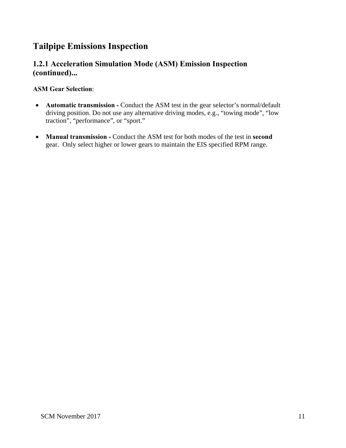#### **1.2.1 Acceleration Simulation Mode (ASM) Emission Inspection (continued)...**

#### **ASM Gear Selection**:

- **Automatic transmission Conduct the ASM test in the gear selector's normal/default** driving position. Do not use any alternative driving modes, e.g., "towing mode", "low traction", "performance", or "sport."
- **Manual transmission** Conduct the ASM test for both modes of the test in **second** gear. Only select higher or lower gears to maintain the EIS specified RPM range.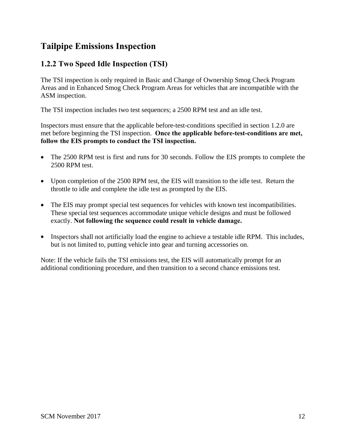## <span id="page-13-0"></span>**1.2.2 Two Speed Idle Inspection (TSI)**

The TSI inspection is only required in Basic and Change of Ownership Smog Check Program Areas and in Enhanced Smog Check Program Areas for vehicles that are incompatible with the ASM inspection.

The TSI inspection includes two test sequences; a 2500 RPM test and an idle test.

Inspectors must ensure that the applicable before-test-conditions specified in section 1.2.0 are met before beginning the TSI inspection. **Once the applicable before-test-conditions are met, follow the EIS prompts to conduct the TSI inspection.**

- The 2500 RPM test is first and runs for 30 seconds. Follow the EIS prompts to complete the 2500 RPM test.
- Upon completion of the 2500 RPM test, the EIS will transition to the idle test. Return the throttle to idle and complete the idle test as prompted by the EIS.
- The EIS may prompt special test sequences for vehicles with known test incompatibilities. These special test sequences accommodate unique vehicle designs and must be followed exactly. **Not following the sequence could result in vehicle damage.**
- Inspectors shall not artificially load the engine to achieve a testable idle RPM. This includes, but is not limited to, putting vehicle into gear and turning accessories on.

Note: If the vehicle fails the TSI emissions test, the EIS will automatically prompt for an additional conditioning procedure, and then transition to a second chance emissions test.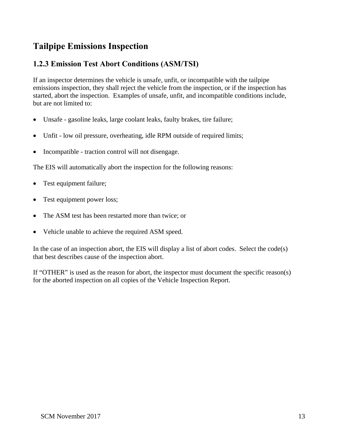#### <span id="page-14-0"></span>**1.2.3 Emission Test Abort Conditions (ASM/TSI)**

If an inspector determines the vehicle is unsafe, unfit, or incompatible with the tailpipe emissions inspection, they shall reject the vehicle from the inspection, or if the inspection has started, abort the inspection. Examples of unsafe, unfit, and incompatible conditions include, but are not limited to:

- Unsafe gasoline leaks, large coolant leaks, faulty brakes, tire failure;
- Unfit low oil pressure, overheating, idle RPM outside of required limits;
- Incompatible traction control will not disengage.

The EIS will automatically abort the inspection for the following reasons:

- Test equipment failure;
- Test equipment power loss;
- The ASM test has been restarted more than twice: or
- Vehicle unable to achieve the required ASM speed.

In the case of an inspection abort, the EIS will display a list of abort codes. Select the code(s) that best describes cause of the inspection abort.

If "OTHER" is used as the reason for abort, the inspector must document the specific reason(s) for the aborted inspection on all copies of the Vehicle Inspection Report.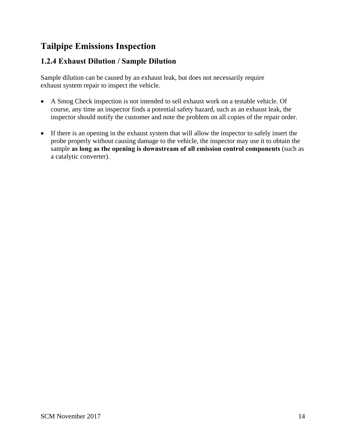#### <span id="page-15-0"></span>**1.2.4 Exhaust Dilution / Sample Dilution**

Sample dilution can be caused by an exhaust leak, but does not necessarily require exhaust system repair to inspect the vehicle.

- A Smog Check inspection is not intended to sell exhaust work on a testable vehicle. Of course, any time an inspector finds a potential safety hazard, such as an exhaust leak, the inspector should notify the customer and note the problem on all copies of the repair order.
- If there is an opening in the exhaust system that will allow the inspector to safely insert the probe properly without causing damage to the vehicle, the inspector may use it to obtain the sample **as long as the opening is downstream of all emission control components** (such as a catalytic converter).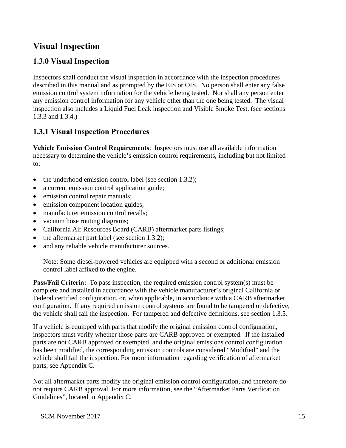# <span id="page-16-0"></span>**1.3.0 Visual Inspection**

Inspectors shall conduct the visual inspection in accordance with the inspection procedures described in this manual and as prompted by the EIS or OIS. No person shall enter any false emission control system information for the vehicle being tested. Nor shall any person enter any emission control information for any vehicle other than the one being tested. The visual inspection also includes a Liquid Fuel Leak inspection and Visible Smoke Test. (see sections 1.3.3 and 1.3.4.)

## **1.3.1 Visual Inspection Procedures**

**Vehicle Emission Control Requirements**: Inspectors must use all available information necessary to determine the vehicle's emission control requirements, including but not limited to:

- the underhood emission control label (see section 1.3.2);
- a current emission control application guide;
- emission control repair manuals;
- emission component location guides;
- manufacturer emission control recalls:
- vacuum hose routing diagrams;
- California Air Resources Board (CARB) aftermarket parts listings;
- the aftermarket part label (see section 1.3.2);
- and any reliable vehicle manufacturer sources.

Note: Some diesel-powered vehicles are equipped with a second or additional emission control label affixed to the engine.

**Pass/Fail Criteria:** To pass inspection, the required emission control system(s) must be complete and installed in accordance with the vehicle manufacturer's original California or Federal certified configuration, or, when applicable, in accordance with a CARB aftermarket configuration. If any required emission control systems are found to be tampered or defective, the vehicle shall fail the inspection. For tampered and defective definitions, see section 1.3.5.

If a vehicle is equipped with parts that modify the original emission control configuration, inspectors must verify whether those parts are CARB approved or exempted. If the installed parts are not CARB approved or exempted, and the original emissions control configuration has been modified, the corresponding emission controls are considered "Modified" and the vehicle shall fail the inspection. For more information regarding verification of aftermarket parts, see Appendix C.

Not all aftermarket parts modify the original emission control configuration, and therefore do not require CARB approval. For more information, see the "Aftermarket Parts Verification Guidelines", located in Appendix C.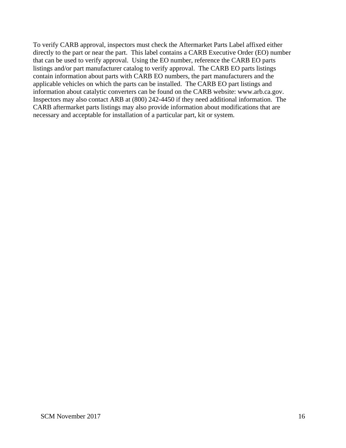To verify CARB approval, inspectors must check the Aftermarket Parts Label affixed either directly to the part or near the part. This label contains a CARB Executive Order (EO) number that can be used to verify approval. Using the EO number, reference the CARB EO parts listings and/or part manufacturer catalog to verify approval. The CARB EO parts listings contain information about parts with CARB EO numbers, the part manufacturers and the applicable vehicles on which the parts can be installed. The CARB EO part listings and information about catalytic converters can be found on the CARB website: www.arb.ca.gov. Inspectors may also contact ARB at (800) 242-4450 if they need additional information. The CARB aftermarket parts listings may also provide information about modifications that are necessary and acceptable for installation of a particular part, kit or system.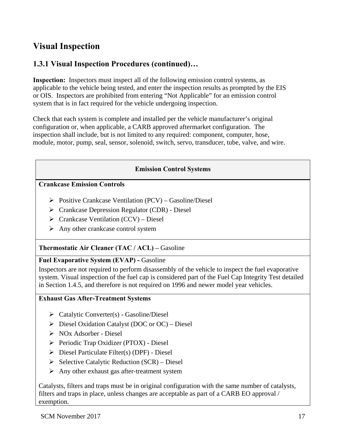#### <span id="page-18-0"></span>**1.3.1 Visual Inspection Procedures (continued)…**

**Inspection:** Inspectors must inspect all of the following emission control systems, as applicable to the vehicle being tested, and enter the inspection results as prompted by the EIS or OIS. Inspectors are prohibited from entering "Not Applicable" for an emission control system that is in fact required for the vehicle undergoing inspection.

Check that each system is complete and installed per the vehicle manufacturer's original configuration or, when applicable, a CARB approved aftermarket configuration. The inspection shall include, but is not limited to any required: component, computer, hose, module, motor, pump, seal, sensor, solenoid, switch, servo, transducer, tube, valve, and wire.

#### **Emission Control Systems**

#### **Crankcase Emission Controls**

- $\triangleright$  Positive Crankcase Ventilation (PCV) Gasoline/Diesel
- $\triangleright$  Crankcase Depression Regulator (CDR) Diesel
- $\triangleright$  Crankcase Ventilation (CCV) Diesel
- $\triangleright$  Any other crankcase control system

#### **Thermostatic Air Cleaner (TAC / ACL) –** Gasoline

#### **Fuel Evaporative System (EVAP) -** Gasoline

Inspectors are not required to perform disassembly of the vehicle to inspect the fuel evaporative system. Visual inspection of the fuel cap is considered part of the Fuel Cap Integrity Test detailed in Section 1.4.5, and therefore is not required on 1996 and newer model year vehicles.

#### **Exhaust Gas After-Treatment Systems**

- $\triangleright$  Catalytic Converter(s) Gasoline/Diesel
- $\triangleright$  Diesel Oxidation Catalyst (DOC or OC) Diesel
- NOx Adsorber Diesel
- $\triangleright$  Periodic Trap Oxidizer (PTOX) Diesel
- $\triangleright$  Diesel Particulate Filter(s) (DPF) Diesel
- $\triangleright$  Selective Catalytic Reduction (SCR) Diesel
- $\triangleright$  Any other exhaust gas after-treatment system

Catalysts, filters and traps must be in original configuration with the same number of catalysts, filters and traps in place, unless changes are acceptable as part of a CARB EO approval / exemption.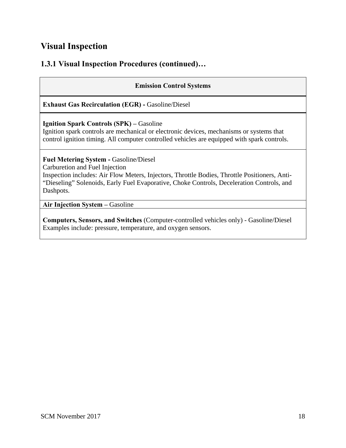#### **1.3.1 Visual Inspection Procedures (continued)…**

#### **Emission Control Systems**

**Exhaust Gas Recirculation (EGR) - Gasoline/Diesel** 

#### **Ignition Spark Controls (SPK) –** Gasoline

Ignition spark controls are mechanical or electronic devices, mechanisms or systems that control ignition timing. All computer controlled vehicles are equipped with spark controls.

**Fuel Metering System -** Gasoline/Diesel

Carburetion and Fuel Injection

Inspection includes: Air Flow Meters, Injectors, Throttle Bodies, Throttle Positioners, Anti- "Dieseling" Solenoids, Early Fuel Evaporative, Choke Controls, Deceleration Controls, and Dashpots.

**Air Injection System –** Gasoline

**Computers, Sensors, and Switches** (Computer-controlled vehicles only) - Gasoline/Diesel Examples include: pressure, temperature, and oxygen sensors.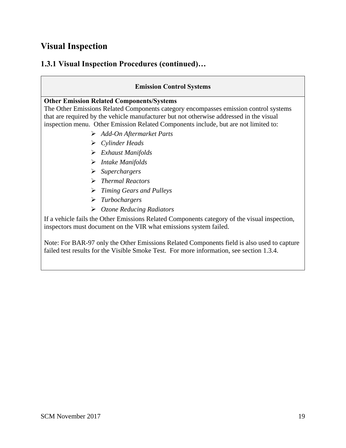## **1.3.1 Visual Inspection Procedures (continued)…**

#### **Emission Control Systems**

#### **Other Emission Related Components/Systems**

The Other Emissions Related Components category encompasses emission control systems that are required by the vehicle manufacturer but not otherwise addressed in the visual inspection menu. Other Emission Related Components include, but are not limited to:

- *Add-On Aftermarket Parts*
- *Cylinder Heads*
- *Exhaust Manifolds*
- *Intake Manifolds*
- *Superchargers*
- *Thermal Reactors*
- *Timing Gears and Pulleys*
- *Turbochargers*
- *Ozone Reducing Radiators*

If a vehicle fails the Other Emissions Related Components category of the visual inspection, inspectors must document on the VIR what emissions system failed.

Note: For BAR-97 only the Other Emissions Related Components field is also used to capture failed test results for the Visible Smoke Test. For more information, see section 1.3.4.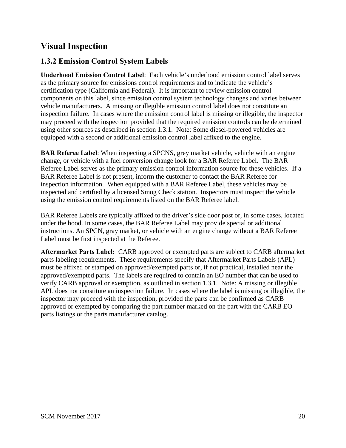#### <span id="page-21-0"></span>**1.3.2 Emission Control System Labels**

**Underhood Emission Control Label**: Each vehicle's underhood emission control label serves as the primary source for emissions control requirements and to indicate the vehicle's certification type (California and Federal). It is important to review emission control components on this label, since emission control system technology changes and varies between vehicle manufacturers. A missing or illegible emission control label does not constitute an inspection failure. In cases where the emission control label is missing or illegible, the inspector may proceed with the inspection provided that the required emission controls can be determined using other sources as described in section 1.3.1. Note: Some diesel-powered vehicles are equipped with a second or additional emission control label affixed to the engine.

**BAR Referee Label**: When inspecting a SPCNS, grey market vehicle, vehicle with an engine change, or vehicle with a fuel conversion change look for a BAR Referee Label. The BAR Referee Label serves as the primary emission control information source for these vehicles. If a BAR Referee Label is not present, inform the customer to contact the BAR Referee for inspection information. When equipped with a BAR Referee Label, these vehicles may be inspected and certified by a licensed Smog Check station. Inspectors must inspect the vehicle using the emission control requirements listed on the BAR Referee label.

BAR Referee Labels are typically affixed to the driver's side door post or, in some cases, located under the hood. In some cases, the BAR Referee Label may provide special or additional instructions. An SPCN, gray market, or vehicle with an engine change without a BAR Referee Label must be first inspected at the Referee.

**Aftermarket Parts Label:** CARB approved or exempted parts are subject to CARB aftermarket parts labeling requirements. These requirements specify that Aftermarket Parts Labels (APL) must be affixed or stamped on approved/exempted parts or, if not practical, installed near the approved/exempted parts. The labels are required to contain an EO number that can be used to verify CARB approval or exemption, as outlined in section 1.3.1. Note: A missing or illegible APL does not constitute an inspection failure. In cases where the label is missing or illegible, the inspector may proceed with the inspection, provided the parts can be confirmed as CARB approved or exempted by comparing the part number marked on the part with the CARB EO parts listings or the parts manufacturer catalog.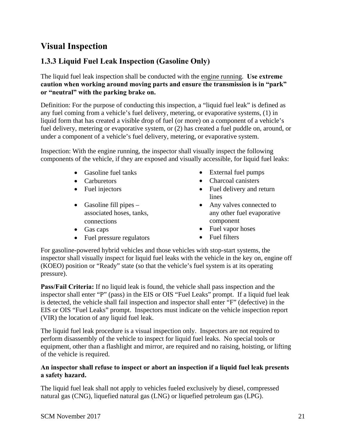# <span id="page-22-0"></span>**1.3.3 Liquid Fuel Leak Inspection (Gasoline Only)**

The liquid fuel leak inspection shall be conducted with the engine running. **Use extreme caution when working around moving parts and ensure the transmission is in "park" or "neutral" with the parking brake on.**

Definition: For the purpose of conducting this inspection, a "liquid fuel leak" is defined as any fuel coming from a vehicle's fuel delivery, metering, or evaporative systems, (1) in liquid form that has created a visible drop of fuel (or more) on a component of a vehicle's fuel delivery, metering or evaporative system, or (2) has created a fuel puddle on, around, or under a component of a vehicle's fuel delivery, metering, or evaporative system.

Inspection: With the engine running, the inspector shall visually inspect the following components of the vehicle, if they are exposed and visually accessible, for liquid fuel leaks:

- Gasoline fuel tanks
- Carburetors
- Fuel injectors
- Gasoline fill pipes  $$ associated hoses, tanks, connections
- Gas caps
- Fuel pressure regulators
- External fuel pumps
- Charcoal canisters
- Fuel delivery and return lines
- Any valves connected to any other fuel evaporative component
- Fuel vapor hoses
- Fuel filters

For gasoline-powered hybrid vehicles and those vehicles with stop-start systems, the inspector shall visually inspect for liquid fuel leaks with the vehicle in the key on, engine off (KOEO) position or "Ready" state (so that the vehicle's fuel system is at its operating pressure).

**Pass/Fail Criteria:** If no liquid leak is found, the vehicle shall pass inspection and the inspector shall enter "P" (pass) in the EIS or OIS "Fuel Leaks" prompt. If a liquid fuel leak is detected, the vehicle shall fail inspection and inspector shall enter "F" (defective) in the EIS or OIS "Fuel Leaks" prompt. Inspectors must indicate on the vehicle inspection report (VIR) the location of any liquid fuel leak.

The liquid fuel leak procedure is a visual inspection only. Inspectors are not required to perform disassembly of the vehicle to inspect for liquid fuel leaks. No special tools or equipment, other than a flashlight and mirror, are required and no raising, hoisting, or lifting of the vehicle is required.

#### **An inspector shall refuse to inspect or abort an inspection if a liquid fuel leak presents a safety hazard.**

The liquid fuel leak shall not apply to vehicles fueled exclusively by diesel, compressed natural gas (CNG), liquefied natural gas (LNG) or liquefied petroleum gas (LPG).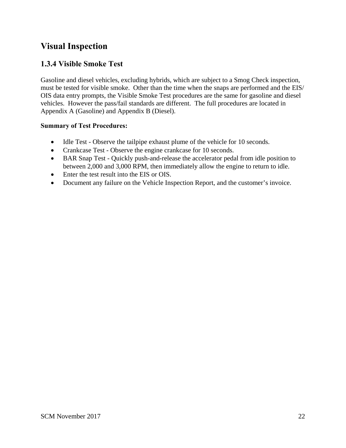#### <span id="page-23-0"></span>**1.3.4 Visible Smoke Test**

Gasoline and diesel vehicles, excluding hybrids, which are subject to a Smog Check inspection, must be tested for visible smoke. Other than the time when the snaps are performed and the EIS/ OIS data entry prompts, the Visible Smoke Test procedures are the same for gasoline and diesel vehicles. However the pass/fail standards are different. The full procedures are located in Appendix A (Gasoline) and Appendix B (Diesel).

#### **Summary of Test Procedures:**

- Idle Test Observe the tailpipe exhaust plume of the vehicle for 10 seconds.
- Crankcase Test Observe the engine crankcase for 10 seconds.
- BAR Snap Test Quickly push-and-release the accelerator pedal from idle position to between 2,000 and 3,000 RPM, then immediately allow the engine to return to idle.
- Enter the test result into the EIS or OIS.
- Document any failure on the Vehicle Inspection Report, and the customer's invoice.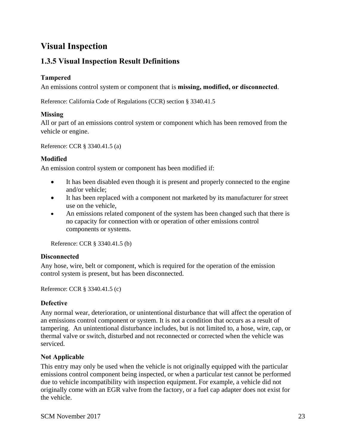# <span id="page-24-0"></span>**1.3.5 Visual Inspection Result Definitions**

#### **Tampered**

An emissions control system or component that is **missing, modified, or disconnected**.

Reference: California Code of Regulations (CCR) section § 3340.41.5

#### **Missing**

All or part of an emissions control system or component which has been removed from the vehicle or engine.

Reference: CCR § 3340.41.5 (a)

#### **Modified**

An emission control system or component has been modified if:

- It has been disabled even though it is present and properly connected to the engine and/or vehicle;
- It has been replaced with a component not marketed by its manufacturer for street use on the vehicle,
- An emissions related component of the system has been changed such that there is no capacity for connection with or operation of other emissions control components or systems.

Reference: CCR § 3340.41.5 (b)

#### **Disconnected**

Any hose, wire, belt or component, which is required for the operation of the emission control system is present, but has been disconnected.

Reference: CCR § 3340.41.5 (c)

#### **Defective**

Any normal wear, deterioration, or unintentional disturbance that will affect the operation of an emissions control component or system. It is not a condition that occurs as a result of tampering.An unintentional disturbance includes, but is not limited to, a hose, wire, cap, or thermal valve or switch, disturbed and not reconnected or corrected when the vehicle was serviced.

#### **Not Applicable**

This entry may only be used when the vehicle is not originally equipped with the particular emissions control component being inspected, or when a particular test cannot be performed due to vehicle incompatibility with inspection equipment. For example, a vehicle did not originally come with an EGR valve from the factory, or a fuel cap adapter does not exist for the vehicle.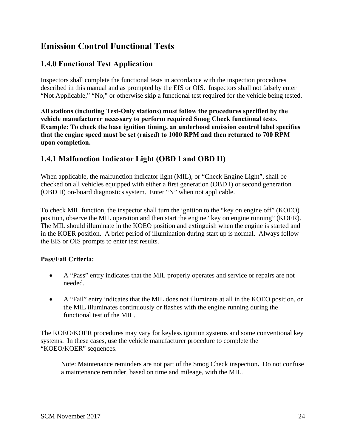#### <span id="page-25-0"></span>**1.4.0 Functional Test Application**

Inspectors shall complete the functional tests in accordance with the inspection procedures described in this manual and as prompted by the EIS or OIS. Inspectors shall not falsely enter "Not Applicable," "No," or otherwise skip a functional test required for the vehicle being tested.

**All stations (including Test-Only stations) must follow the procedures specified by the vehicle manufacturer necessary to perform required Smog Check functional tests. Example: To check the base ignition timing, an underhood emission control label specifies that the engine speed must be set (raised) to 1000 RPM and then returned to 700 RPM upon completion.** 

#### **1.4.1 Malfunction Indicator Light (OBD I and OBD II)**

When applicable, the malfunction indicator light (MIL), or "Check Engine Light", shall be checked on all vehicles equipped with either a first generation (OBD I) or second generation (OBD II) on-board diagnostics system. Enter "N" when not applicable.

To check MIL function, the inspector shall turn the ignition to the "key on engine off" (KOEO) position, observe the MIL operation and then start the engine "key on engine running" (KOER). The MIL should illuminate in the KOEO position and extinguish when the engine is started and in the KOER position. A brief period of illumination during start up is normal. Always follow the EIS or OIS prompts to enter test results.

#### **Pass/Fail Criteria:**

- A "Pass" entry indicates that the MIL properly operates and service or repairs are not needed.
- A "Fail" entry indicates that the MIL does not illuminate at all in the KOEO position, or the MIL illuminates continuously or flashes with the engine running during the functional test of the MIL.

The KOEO/KOER procedures may vary for keyless ignition systems and some conventional key systems. In these cases, use the vehicle manufacturer procedure to complete the "KOEO/KOER" sequences.

Note: Maintenance reminders are not part of the Smog Check inspection**.** Do not confuse a maintenance reminder*,* based on time and mileage, with the MIL.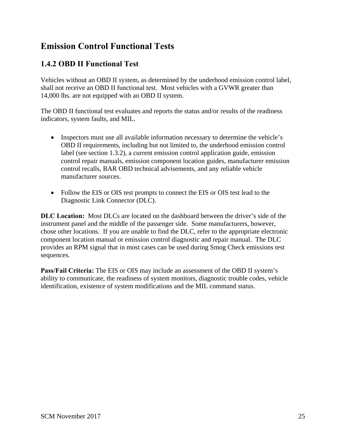#### <span id="page-26-0"></span>**1.4.2 OBD II Functional Test**

Vehicles without an OBD II system, as determined by the underhood emission control label, shall not receive an OBD II functional test. Most vehicles with a GVWR greater than 14,000 lbs. are not equipped with an OBD II system.

The OBD II functional test evaluates and reports the status and/or results of the readiness indicators, system faults, and MIL.

- Inspectors must use all available information necessary to determine the vehicle's OBD II requirements, including but not limited to, the underhood emission control label (see section 1.3.2), a current emission control application guide, emission control repair manuals, emission component location guides, manufacturer emission control recalls, BAR OBD technical advisements, and any reliable vehicle manufacturer sources.
- Follow the EIS or OIS test prompts to connect the EIS or OIS test lead to the Diagnostic Link Connector (DLC).

**DLC Location:** Most DLCs are located on the dashboard between the driver's side of the instrument panel and the middle of the passenger side. Some manufacturers, however, chose other locations. If you are unable to find the DLC, refer to the appropriate electronic component location manual or emission control diagnostic and repair manual. The DLC provides an RPM signal that in most cases can be used during Smog Check emissions test sequences.

**Pass/Fail Criteria:** The EIS or OIS may include an assessment of the OBD II system's ability to communicate, the readiness of system monitors, diagnostic trouble codes, vehicle identification, existence of system modifications and the MIL command status.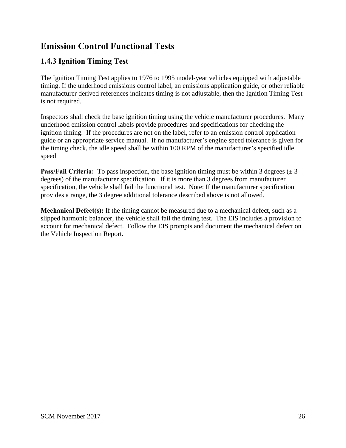## <span id="page-27-0"></span>**1.4.3 Ignition Timing Test**

The Ignition Timing Test applies to 1976 to 1995 model-year vehicles equipped with adjustable timing. If the underhood emissions control label, an emissions application guide, or other reliable manufacturer derived references indicates timing is not adjustable, then the Ignition Timing Test is not required.

Inspectors shall check the base ignition timing using the vehicle manufacturer procedures. Many underhood emission control labels provide procedures and specifications for checking the ignition timing. If the procedures are not on the label, refer to an emission control application guide or an appropriate service manual. If no manufacturer's engine speed tolerance is given for the timing check, the idle speed shall be within 100 RPM of the manufacturer's specified idle speed

**Pass/Fail Criteria:** To pass inspection, the base ignition timing must be within 3 degrees  $(\pm 3)$ degrees) of the manufacturer specification. If it is more than 3 degrees from manufacturer specification, the vehicle shall fail the functional test. Note: If the manufacturer specification provides a range, the 3 degree additional tolerance described above is not allowed.

**Mechanical Defect(s):** If the timing cannot be measured due to a mechanical defect, such as a slipped harmonic balancer, the vehicle shall fail the timing test. The EIS includes a provision to account for mechanical defect. Follow the EIS prompts and document the mechanical defect on the Vehicle Inspection Report.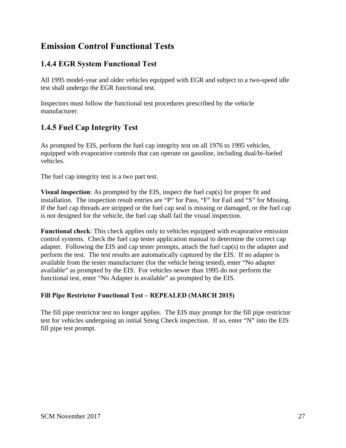#### <span id="page-28-0"></span>**1.4.4 EGR System Functional Test**

All 1995 model-year and older vehicles equipped with EGR and subject to a two-speed idle test shall undergo the EGR functional test.

Inspectors must follow the functional test procedures prescribed by the vehicle manufacturer.

## **1.4.5 Fuel Cap Integrity Test**

As prompted by EIS, perform the fuel cap integrity test on all 1976 to 1995 vehicles, equipped with evaporative controls that can operate on gasoline, including dual/bi-fueled vehicles.

The fuel cap integrity test is a two part test.

**Visual inspection**: As prompted by the EIS, inspect the fuel cap(s) for proper fit and installation. The inspection result entries are "P" for Pass, "F" for Fail and "S" for Missing. If the fuel cap threads are stripped or the fuel cap seal is missing or damaged, or the fuel cap is not designed for the vehicle, the fuel cap shall fail the visual inspection.

**Functional check**: This check applies only to vehicles equipped with evaporative emission control systems. Check the fuel cap tester application manual to determine the correct cap adapter. Following the EIS and cap tester prompts, attach the fuel cap(s) to the adapter and perform the test. The test results are automatically captured by the EIS. If no adapter is available from the tester manufacturer (for the vehicle being tested), enter "No adapter available" as prompted by the EIS. For vehicles newer than 1995 do not perform the functional test, enter "No Adapter is available" as prompted by the EIS.

#### **Fill Pipe Restrictor Functional Test – REPEALED (MARCH 2015)**

The fill pipe restrictor test no longer applies. The EIS may prompt for the fill pipe restrictor test for vehicles undergoing an initial Smog Check inspection. If so, enter "N" into the EIS fill pipe test prompt.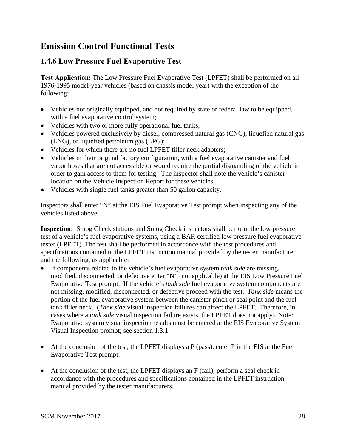# <span id="page-29-0"></span>**1.4.6 Low Pressure Fuel Evaporative Test**

**Test Application:** The Low Pressure Fuel Evaporative Test (LPFET) shall be performed on all 1976-1995 model-year vehicles (based on chassis model year) with the exception of the following:

- Vehicles not originally equipped, and not required by state or federal law to be equipped, with a fuel evaporative control system;
- Vehicles with two or more fully operational fuel tanks;
- Vehicles powered exclusively by diesel, compressed natural gas (CNG), liquefied natural gas (LNG), or liquefied petroleum gas (LPG);
- Vehicles for which there are no fuel LPFET filler neck adapters;
- Vehicles in their original factory configuration, with a fuel evaporative canister and fuel vapor hoses that are not accessible or would require the partial dismantling of the vehicle in order to gain access to them for testing. The inspector shall note the vehicle's canister location on the Vehicle Inspection Report for these vehicles.
- Vehicles with single fuel tanks greater than 50 gallon capacity.

Inspectors shall enter "N" at the EIS Fuel Evaporative Test prompt when inspecting any of the vehicles listed above.

**Inspection:** Smog Check stations and Smog Check inspectors shall perform the low pressure test of a vehicle's fuel evaporative systems, using a BAR certified low pressure fuel evaporative tester (LPFET). The test shall be performed in accordance with the test procedures and specifications contained in the LPFET instruction manual provided by the tester manufacturer, and the following, as applicable:

- If components related to the vehicle's fuel evaporative system *tank side* are missing, modified, disconnected, or defective enter "N" (not applicable) at the EIS Low Pressure Fuel Evaporative Test prompt. If the vehicle's *tank side* fuel evaporative system components are not missing, modified, disconnected, or defective proceed with the test. *Tank side* means the portion of the fuel evaporative system between the canister pinch or seal point and the fuel tank filler neck. (*Tank side* visual inspection failures can affect the LPFET. Therefore, in cases where a *tank side* visual inspection failure exists, the LPFET does not apply). Note: Evaporative system visual inspection results must be entered at the EIS Evaporative System Visual Inspection prompt; see section 1.3.1.
- At the conclusion of the test, the LPFET displays a P (pass), enter P in the EIS at the Fuel Evaporative Test prompt.
- At the conclusion of the test, the LPFET displays an  $F$  (fail), perform a seal check in accordance with the procedures and specifications contained in the LPFET instruction manual provided by the tester manufacturers.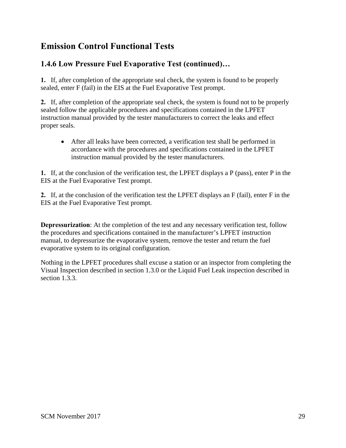# **1.4.6 Low Pressure Fuel Evaporative Test (continued)…**

**1.** If, after completion of the appropriate seal check, the system is found to be properly sealed, enter F (fail) in the EIS at the Fuel Evaporative Test prompt.

**2.** If, after completion of the appropriate seal check, the system is found not to be properly sealed follow the applicable procedures and specifications contained in the LPFET instruction manual provided by the tester manufacturers to correct the leaks and effect proper seals.

• After all leaks have been corrected, a verification test shall be performed in accordance with the procedures and specifications contained in the LPFET instruction manual provided by the tester manufacturers.

**1.** If, at the conclusion of the verification test, the LPFET displays a P (pass), enter P in the EIS at the Fuel Evaporative Test prompt.

**2.** If, at the conclusion of the verification test the LPFET displays an F (fail), enter F in the EIS at the Fuel Evaporative Test prompt.

**Depressurization:** At the completion of the test and any necessary verification test, follow the procedures and specifications contained in the manufacturer's LPFET instruction manual, to depressurize the evaporative system, remove the tester and return the fuel evaporative system to its original configuration.

Nothing in the LPFET procedures shall excuse a station or an inspector from completing the Visual Inspection described in section 1.3.0 or the Liquid Fuel Leak inspection described in section 1.3.3.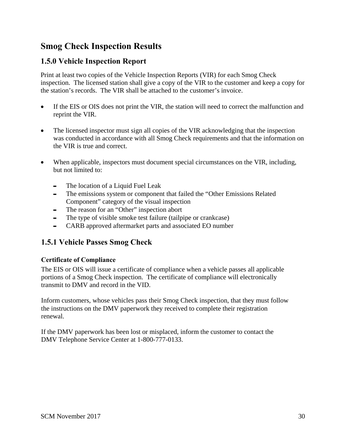# <span id="page-31-0"></span>**Smog Check Inspection Results**

#### **1.5.0 Vehicle Inspection Report**

Print at least two copies of the Vehicle Inspection Reports (VIR) for each Smog Check inspection. The licensed station shall give a copy of the VIR to the customer and keep a copy for the station's records. The VIR shall be attached to the customer's invoice.

- If the EIS or OIS does not print the VIR, the station will need to correct the malfunction and reprint the VIR.
- The licensed inspector must sign all copies of the VIR acknowledging that the inspection was conducted in accordance with all Smog Check requirements and that the information on the VIR is true and correct.
- When applicable, inspectors must document special circumstances on the VIR, including, but not limited to:
	- The location of a Liquid Fuel Leak
	- The emissions system or component that failed the "Other Emissions Related Component" category of the visual inspection
	- The reason for an "Other" inspection abort
	- The type of visible smoke test failure (tailpipe or crankcase)
	- CARB approved aftermarket parts and associated EO number

#### **1.5.1 Vehicle Passes Smog Check**

#### **Certificate of Compliance**

The EIS or OIS will issue a certificate of compliance when a vehicle passes all applicable portions of a Smog Check inspection. The certificate of compliance will electronically transmit to DMV and record in the VID.

Inform customers, whose vehicles pass their Smog Check inspection, that they must follow the instructions on the DMV paperwork they received to complete their registration renewal.

If the DMV paperwork has been lost or misplaced, inform the customer to contact the DMV Telephone Service Center at 1-800-777-0133.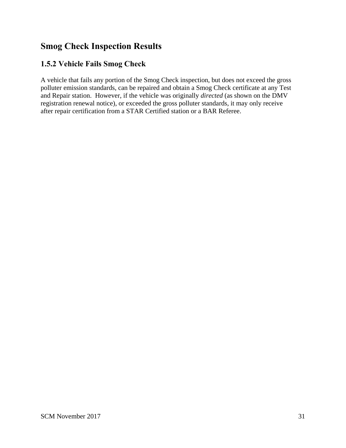# <span id="page-32-0"></span>**Smog Check Inspection Results**

#### **1.5.2 Vehicle Fails Smog Check**

A vehicle that fails any portion of the Smog Check inspection, but does not exceed the gross polluter emission standards, can be repaired and obtain a Smog Check certificate at any Test and Repair station. However, if the vehicle was originally *directed* (as shown on the DMV registration renewal notice), or exceeded the gross polluter standards, it may only receive after repair certification from a STAR Certified station or a BAR Referee.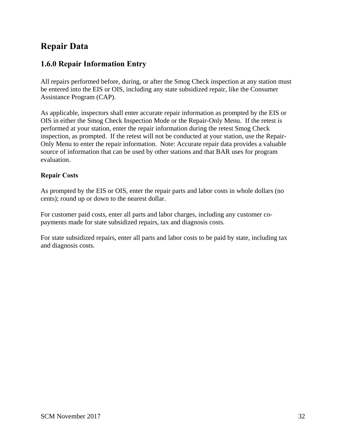# <span id="page-33-0"></span>**Repair Data**

#### **1.6.0 Repair Information Entry**

All repairs performed before, during, or after the Smog Check inspection at any station must be entered into the EIS or OIS, including any state subsidized repair, like the Consumer Assistance Program (CAP).

As applicable, inspectors shall enter accurate repair information as prompted by the EIS or OIS in either the Smog Check Inspection Mode or the Repair-Only Menu. If the retest is performed at your station, enter the repair information during the retest Smog Check inspection, as prompted. If the retest will not be conducted at your station, use the Repair-Only Menu to enter the repair information. Note: Accurate repair data provides a valuable source of information that can be used by other stations and that BAR uses for program evaluation.

#### **Repair Costs**

As prompted by the EIS or OIS, enter the repair parts and labor costs in whole dollars (no cents); round up or down to the nearest dollar.

For customer paid costs, enter all parts and labor charges, including any customer copayments made for state subsidized repairs, tax and diagnosis costs.

For state subsidized repairs, enter all parts and labor costs to be paid by state, including tax and diagnosis costs.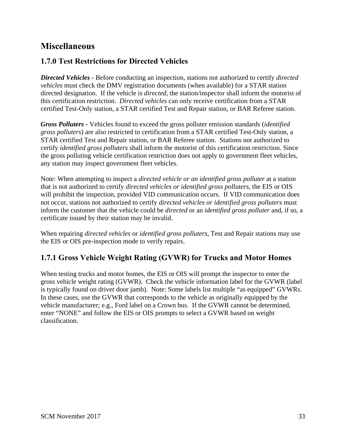# <span id="page-34-0"></span>**Miscellaneous**

#### **1.7.0 Test Restrictions for Directed Vehicles**

*Directed Vehicles -* Before conducting an inspection, stations not authorized to certify *directed vehicles* must check the DMV registration documents (when available) for a STAR station directed designation. If the vehicle is *directed,* the station/inspector shall inform the motorist of this certification restriction. *Directed vehicles* can only receive certification from a STAR certified Test-Only station, a STAR certified Test and Repair station, or BAR Referee station.

*Gross Polluters -* Vehicles found to exceed the gross polluter emission standards (*identified gross polluters*) are also restricted to certification from a STAR certified Test-Only station, a STAR certified Test and Repair station, or BAR Referee station. Stations not authorized to certify *identified gross polluters* shall inform the motorist of this certification restriction. Since the gross polluting vehicle certification restriction does not apply to government fleet vehicles, any station may inspect government fleet vehicles.

Note: When attempting to inspect a *directed vehicle or an identified gross polluter* at a station that is not authorized to certify *directed vehicles or identified gross polluters*, the EIS or OIS will prohibit the inspection, provided VID communication occurs. If VID communication does not occur, stations not authorized to certify *directed vehicles or identified gross polluters* must inform the customer that the vehicle could be *directed* or an *identified gross polluter* and, if so, a certificate issued by their station may be invalid.

When repairing *directed vehicles* or *identified gross polluters*, Test and Repair stations may use the EIS or OIS pre-inspection mode to verify repairs.

#### **1.7.1 Gross Vehicle Weight Rating (GVWR) for Trucks and Motor Homes**

When testing trucks and motor homes, the EIS or OIS will prompt the inspector to enter the gross vehicle weight rating (GVWR). Check the vehicle information label for the GVWR (label is typically found on driver door jamb). Note: Some labels list multiple "as equipped" GVWRs. In these cases, use the GVWR that corresponds to the vehicle as originally equipped by the vehicle manufacturer; e.g., Ford label on a Crown bus. If the GVWR cannot be determined, enter "NONE" and follow the EIS or OIS prompts to select a GVWR based on weight classification.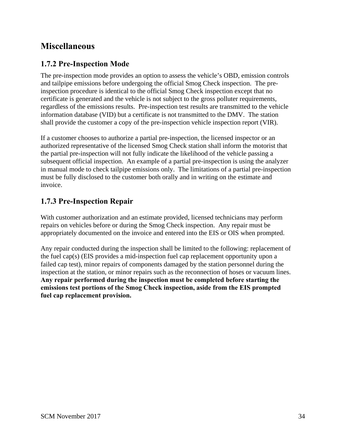# <span id="page-35-0"></span>**Miscellaneous**

#### **1.7.2 Pre-Inspection Mode**

The pre-inspection mode provides an option to assess the vehicle's OBD, emission controls and tailpipe emissions before undergoing the official Smog Check inspection.The preinspection procedure is identical to the official Smog Check inspection except that no certificate is generated and the vehicle is not subject to the gross polluter requirements, regardless of the emissions results. Pre-inspection test results are transmitted to the vehicle information database (VID) but a certificate is not transmitted to the DMV. The station shall provide the customer a copy of the pre-inspection vehicle inspection report (VIR).

If a customer chooses to authorize a partial pre-inspection, the licensed inspector or an authorized representative of the licensed Smog Check station shall inform the motorist that the partial pre-inspection will not fully indicate the likelihood of the vehicle passing a subsequent official inspection. An example of a partial pre-inspection is using the analyzer in manual mode to check tailpipe emissions only. The limitations of a partial pre-inspection must be fully disclosed to the customer both orally and in writing on the estimate and invoice.

#### **1.7.3 Pre-Inspection Repair**

With customer authorization and an estimate provided, licensed technicians may perform repairs on vehicles before or during the Smog Check inspection. Any repair must be appropriately documented on the invoice and entered into the EIS or OIS when prompted.

Any repair conducted during the inspection shall be limited to the following: replacement of the fuel cap(s) (EIS provides a mid-inspection fuel cap replacement opportunity upon a failed cap test), minor repairs of components damaged by the station personnel during the inspection at the station, or minor repairs such as the reconnection of hoses or vacuum lines. **Any repair performed during the inspection must be completed before starting the emissions test portions of the Smog Check inspection, aside from the EIS prompted fuel cap replacement provision.**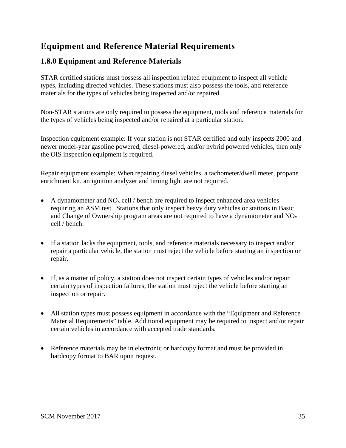## <span id="page-36-0"></span>**1.8.0 Equipment and Reference Materials**

STAR certified stations must possess all inspection related equipment to inspect all vehicle types, including directed vehicles. These stations must also possess the tools, and reference materials for the types of vehicles being inspected and/or repaired.

Non-STAR stations are only required to possess the equipment, tools and reference materials for the types of vehicles being inspected and/or repaired at a particular station.

Inspection equipment example: If your station is not STAR certified and only inspects 2000 and newer model-year gasoline powered, diesel-powered, and/or hybrid powered vehicles, then only the OIS inspection equipment is required.

Repair equipment example: When repairing diesel vehicles, a tachometer/dwell meter, propane enrichment kit, an ignition analyzer and timing light are not required.

- A dynamometer and  $NO<sub>x</sub>$  cell / bench are required to inspect enhanced area vehicles requiring an ASM test. Stations that only inspect heavy duty vehicles or stations in Basic and Change of Ownership program areas are not required to have a dynamometer and  $NO<sub>x</sub>$ cell / bench.
- If a station lacks the equipment, tools, and reference materials necessary to inspect and/or repair a particular vehicle, the station must reject the vehicle before starting an inspection or repair.
- If, as a matter of policy, a station does not inspect certain types of vehicles and/or repair certain types of inspection failures, the station must reject the vehicle before starting an inspection or repair.
- All station types must possess equipment in accordance with the "Equipment and Reference" Material Requirements" table. Additional equipment may be required to inspect and/or repair certain vehicles in accordance with accepted trade standards.
- Reference materials may be in electronic or hardcopy format and must be provided in hardcopy format to BAR upon request.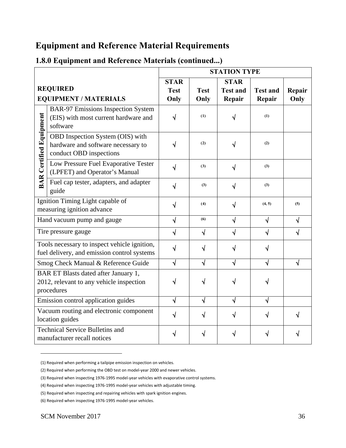|                                                                                                |                                                                                                   | <b>STATION TYPE</b>        |             |                                |                         |            |
|------------------------------------------------------------------------------------------------|---------------------------------------------------------------------------------------------------|----------------------------|-------------|--------------------------------|-------------------------|------------|
|                                                                                                | <b>REQUIRED</b>                                                                                   | <b>STAR</b><br><b>Test</b> | <b>Test</b> | <b>STAR</b><br><b>Test and</b> | <b>Test and</b>         | Repair     |
|                                                                                                | <b>EQUIPMENT / MATERIALS</b>                                                                      | Only                       | Only        | Repair                         | Repair                  | Only       |
|                                                                                                | <b>BAR-97 Emissions Inspection System</b><br>(EIS) with most current hardware and<br>software     | √                          | (1)         |                                | (1)                     |            |
| <b>BAR Certified Equipment</b>                                                                 | OBD Inspection System (OIS) with<br>hardware and software necessary to<br>conduct OBD inspections |                            | (2)         |                                | (2)                     |            |
|                                                                                                | Low Pressure Fuel Evaporative Tester<br>(LPFET) and Operator's Manual                             | √                          | (3)         |                                | (3)                     |            |
|                                                                                                | Fuel cap tester, adapters, and adapter<br>guide                                                   | √                          | (3)         | √                              | (3)                     |            |
|                                                                                                | Ignition Timing Light capable of<br>measuring ignition advance                                    | √                          | (4)         | √                              | (4, 5)                  | (5)        |
|                                                                                                | Hand vacuum pump and gauge                                                                        | $\sqrt{}$                  | (6)         | $\sqrt{}$                      | $\sqrt{}$               | $\sqrt{ }$ |
|                                                                                                | Tire pressure gauge                                                                               | $\sqrt{}$                  | $\sqrt{}$   | √                              | $\overline{\mathsf{v}}$ |            |
|                                                                                                | Tools necessary to inspect vehicle ignition,<br>fuel delivery, and emission control systems       | √                          | √           |                                | ٦J                      |            |
|                                                                                                | Smog Check Manual & Reference Guide                                                               | $\sqrt{ }$                 | $\sqrt{}$   | $\sqrt{}$                      | $\sqrt{}$               | $\sqrt{ }$ |
| BAR ET Blasts dated after January 1,<br>2012, relevant to any vehicle inspection<br>procedures |                                                                                                   |                            |             |                                |                         |            |
| Emission control application guides                                                            |                                                                                                   | √                          | $\sqrt{}$   | √                              | $\sqrt{}$               |            |
|                                                                                                | Vacuum routing and electronic component<br>location guides                                        | √                          | √           |                                |                         |            |
|                                                                                                | <b>Technical Service Bulletins and</b><br>manufacturer recall notices                             |                            |             |                                |                         |            |

#### **1.8.0 Equipment and Reference Materials (continued...)**

<span id="page-37-0"></span><sup>(1)</sup> Required when performing a tailpipe emission inspection on vehicles.

<span id="page-37-1"></span><sup>(2)</sup> Required when performing the OBD test on model-year 2000 and newer vehicles.

<span id="page-37-2"></span><sup>(3)</sup> Required when inspecting 1976-1995 model-year vehicles with evaporative control systems.

<span id="page-37-3"></span><sup>(4)</sup> Required when inspecting 1976-1995 model-year vehicles with adjustable timing.

<sup>(5)</sup> Required when inspecting and repairing vehicles with spark ignition engines.

<sup>(6)</sup> Required when inspecting 1976-1995 model-year vehicles.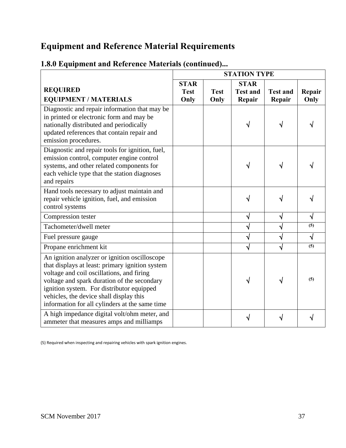|                                                                                                                                                                                                                                                                                                                                        | <b>STATION TYPE</b> |                     |                           |                           |                |
|----------------------------------------------------------------------------------------------------------------------------------------------------------------------------------------------------------------------------------------------------------------------------------------------------------------------------------------|---------------------|---------------------|---------------------------|---------------------------|----------------|
|                                                                                                                                                                                                                                                                                                                                        | <b>STAR</b>         |                     | <b>STAR</b>               |                           |                |
| <b>REQUIRED</b><br><b>EQUIPMENT / MATERIALS</b>                                                                                                                                                                                                                                                                                        | <b>Test</b><br>Only | <b>Test</b><br>Only | <b>Test and</b><br>Repair | <b>Test and</b><br>Repair | Repair<br>Only |
| Diagnostic and repair information that may be<br>in printed or electronic form and may be<br>nationally distributed and periodically<br>updated references that contain repair and<br>emission procedures.                                                                                                                             |                     |                     |                           |                           |                |
| Diagnostic and repair tools for ignition, fuel,<br>emission control, computer engine control<br>systems, and other related components for<br>each vehicle type that the station diagnoses<br>and repairs                                                                                                                               |                     |                     |                           |                           |                |
| Hand tools necessary to adjust maintain and<br>repair vehicle ignition, fuel, and emission<br>control systems                                                                                                                                                                                                                          |                     |                     | N                         |                           |                |
| Compression tester                                                                                                                                                                                                                                                                                                                     |                     |                     | V                         | $\sqrt{}$                 | N              |
| Tachometer/dwell meter                                                                                                                                                                                                                                                                                                                 |                     |                     | $\sqrt{}$                 | √                         | (5)            |
| Fuel pressure gauge                                                                                                                                                                                                                                                                                                                    |                     |                     | $\sqrt{}$                 | √                         | √              |
| Propane enrichment kit                                                                                                                                                                                                                                                                                                                 |                     |                     | $\sqrt{}$                 | √                         | (5)            |
| An ignition analyzer or ignition oscilloscope<br>that displays at least: primary ignition system<br>voltage and coil oscillations, and firing<br>voltage and spark duration of the secondary<br>ignition system. For distributor equipped<br>vehicles, the device shall display this<br>information for all cylinders at the same time |                     |                     | V                         |                           | (5)            |
| A high impedance digital volt/ohm meter, and<br>ammeter that measures amps and milliamps                                                                                                                                                                                                                                               |                     |                     |                           |                           |                |

# **1.8.0 Equipment and Reference Materials (continued)...**

(5) Required when inspecting and repairing vehicles with spark ignition engines.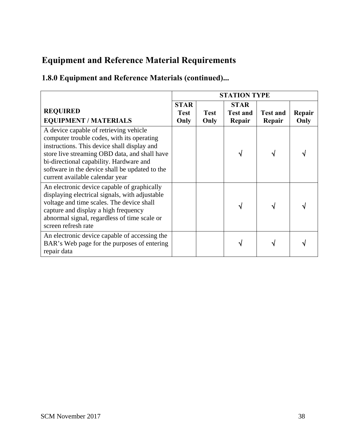# **1.8.0 Equipment and Reference Materials (continued)...**

|                                                                                                                                                                                                                                                                                                                      | <b>STATION TYPE</b>                |                     |                                          |                           |                |
|----------------------------------------------------------------------------------------------------------------------------------------------------------------------------------------------------------------------------------------------------------------------------------------------------------------------|------------------------------------|---------------------|------------------------------------------|---------------------------|----------------|
| <b>REQUIRED</b><br><b>EQUIPMENT / MATERIALS</b>                                                                                                                                                                                                                                                                      | <b>STAR</b><br><b>Test</b><br>Only | <b>Test</b><br>Only | <b>STAR</b><br><b>Test and</b><br>Repair | <b>Test and</b><br>Repair | Repair<br>Only |
| A device capable of retrieving vehicle<br>computer trouble codes, with its operating<br>instructions. This device shall display and<br>store live streaming OBD data, and shall have<br>bi-directional capability. Hardware and<br>software in the device shall be updated to the<br>current available calendar year |                                    |                     |                                          |                           |                |
| An electronic device capable of graphically<br>displaying electrical signals, with adjustable<br>voltage and time scales. The device shall<br>capture and display a high frequency<br>abnormal signal, regardless of time scale or<br>screen refresh rate                                                            |                                    |                     |                                          |                           |                |
| An electronic device capable of accessing the<br>BAR's Web page for the purposes of entering<br>repair data                                                                                                                                                                                                          |                                    |                     |                                          |                           |                |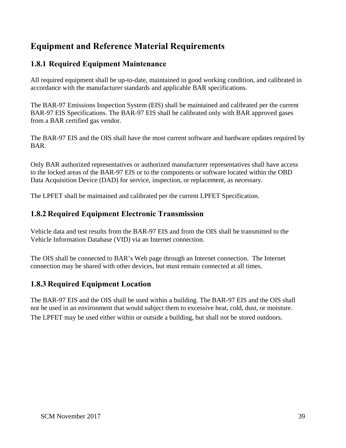# <span id="page-40-0"></span>**1.8.1 Required Equipment Maintenance**

All required equipment shall be up-to-date, maintained in good working condition, and calibrated in accordance with the manufacturer standards and applicable BAR specifications.

The BAR-97 Emissions Inspection System (EIS) shall be maintained and calibrated per the current BAR-97 EIS Specifications. The BAR-97 EIS shall be calibrated only with BAR approved gases from a BAR certified gas vendor.

The BAR-97 EIS and the OIS shall have the most current software and hardware updates required by BAR.

Only BAR authorized representatives or authorized manufacturer representatives shall have access to the locked areas of the BAR-97 EIS or to the components or software located within the OBD Data Acquisition Device (DAD) for service, inspection, or replacement, as necessary.

The LPFET shall be maintained and calibrated per the current LPFET Specification.

#### **1.8.2 Required Equipment Electronic Transmission**

Vehicle data and test results from the BAR-97 EIS and from the OIS shall be transmitted to the Vehicle Information Database (VID) via an Internet connection.

The OIS shall be connected to BAR's Web page through an Internet connection. The Internet connection may be shared with other devices, but must remain connected at all times.

#### **1.8.3 Required Equipment Location**

The BAR-97 EIS and the OIS shall be used within a building. The BAR-97 EIS and the OIS shall not be used in an environment that would subject them to excessive heat, cold, dust, or moisture. The LPFET may be used either within or outside a building, but shall not be stored outdoors.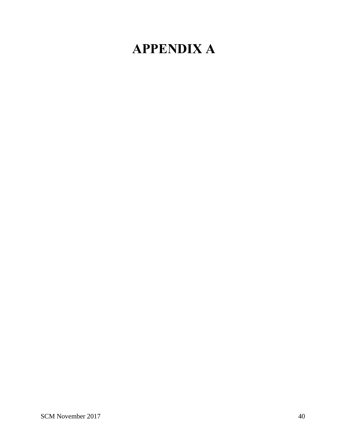# <span id="page-41-0"></span>**APPENDIX A**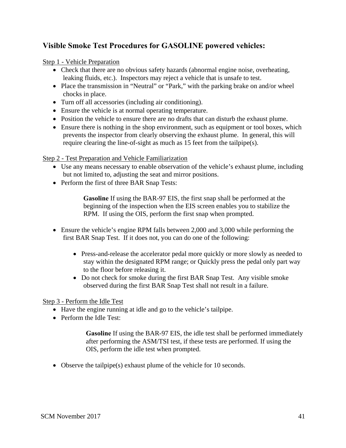#### **Visible Smoke Test Procedures for GASOLINE powered vehicles:**

Step 1 - Vehicle Preparation

- Check that there are no obvious safety hazards (abnormal engine noise, overheating, leaking fluids, etc.). Inspectors may reject a vehicle that is unsafe to test.
- Place the transmission in "Neutral" or "Park," with the parking brake on and/or wheel chocks in place.
- Turn off all accessories (including air conditioning).
- Ensure the vehicle is at normal operating temperature.
- Position the vehicle to ensure there are no drafts that can disturb the exhaust plume.
- Ensure there is nothing in the shop environment, such as equipment or tool boxes, which prevents the inspector from clearly observing the exhaust plume. In general, this will require clearing the line-of-sight as much as 15 feet from the tailpipe(s).

#### Step 2 - Test Preparation and Vehicle Familiarization

- Use any means necessary to enable observation of the vehicle's exhaust plume, including but not limited to, adjusting the seat and mirror positions.
- Perform the first of three BAR Snap Tests:

**Gasoline** If using the BAR-97 EIS, the first snap shall be performed at the beginning of the inspection when the EIS screen enables you to stabilize the RPM. If using the OIS, perform the first snap when prompted.

- Ensure the vehicle's engine RPM falls between 2,000 and 3,000 while performing the first BAR Snap Test. If it does not, you can do one of the following:
	- Press-and-release the accelerator pedal more quickly or more slowly as needed to stay within the designated RPM range; or Quickly press the pedal only part way to the floor before releasing it.
	- Do not check for smoke during the first BAR Snap Test. Any visible smoke observed during the first BAR Snap Test shall not result in a failure.

#### Step 3 - Perform the Idle Test

- Have the engine running at idle and go to the vehicle's tailpipe.
- Perform the Idle Test:

**Gasoline** If using the BAR-97 EIS, the idle test shall be performed immediately after performing the ASM/TSI test, if these tests are performed. If using the OIS, perform the idle test when prompted.

• Observe the tailpipe(s) exhaust plume of the vehicle for 10 seconds.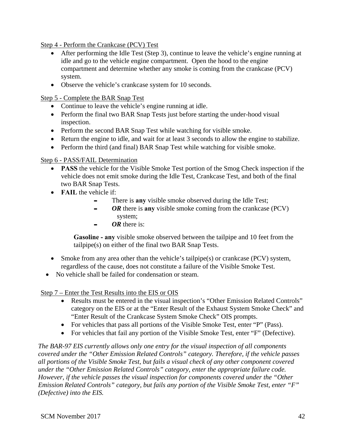<span id="page-43-0"></span>Step 4 - Perform the Crankcase (PCV) Test

- After performing the Idle Test (Step 3), continue to leave the vehicle's engine running at idle and go to the vehicle engine compartment. Open the hood to the engine compartment and determine whether any smoke is coming from the crankcase (PCV) system.
- Observe the vehicle's crankcase system for 10 seconds.

Step 5 - Complete the BAR Snap Test

- Continue to leave the vehicle's engine running at idle.
- Perform the final two BAR Snap Tests just before starting the under-hood visual inspection.
- Perform the second BAR Snap Test while watching for visible smoke.
- Return the engine to idle, and wait for at least 3 seconds to allow the engine to stabilize.
- Perform the third (and final) BAR Snap Test while watching for visible smoke.

#### Step 6 - PASS/FAIL Determination

- **PASS** the vehicle for the Visible Smoke Test portion of the Smog Check inspection if the vehicle does not emit smoke during the Idle Test, Crankcase Test, and both of the final two BAR Snap Tests.
- **FAIL** the vehicle if:
	- There is **any** visible smoke observed during the Idle Test;
	- **-** *OR* there is any visible smoke coming from the crankcase (PCV) system;
	- OR there is:

**Gasoline - any** visible smoke observed between the tailpipe and 10 feet from the tailpipe(s) on either of the final two BAR Snap Tests.

- Smoke from any area other than the vehicle's tailpipe(s) or crankcase (PCV) system, regardless of the cause, does not constitute a failure of the Visible Smoke Test.
- No vehicle shall be failed for condensation or steam.

Step 7 – Enter the Test Results into the EIS or OIS

- Results must be entered in the visual inspection's "Other Emission Related Controls" category on the EIS or at the "Enter Result of the Exhaust System Smoke Check" and "Enter Result of the Crankcase System Smoke Check" OIS prompts.
- For vehicles that pass all portions of the Visible Smoke Test, enter "P" (Pass).
- For vehicles that fail any portion of the Visible Smoke Test, enter "F" (Defective).

*The BAR-97 EIS currently allows only one entry for the visual inspection of all components covered under the "Other Emission Related Controls" category. Therefore, if the vehicle passes all portions of the Visible Smoke Test, but fails a visual check of any other component covered under the "Other Emission Related Controls" category, enter the appropriate failure code. However, if the vehicle passes the visual inspection for components covered under the "Other Emission Related Controls" category, but fails any portion of the Visible Smoke Test, enter "F" (Defective) into the EIS.*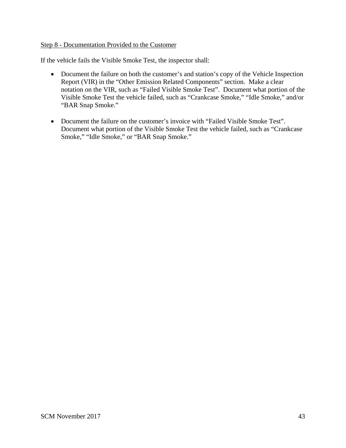#### Step 8 - Documentation Provided to the Customer

If the vehicle fails the Visible Smoke Test, the inspector shall:

- Document the failure on both the customer's and station's copy of the Vehicle Inspection Report (VIR) in the "Other Emission Related Components" section. Make a clear notation on the VIR, such as "Failed Visible Smoke Test". Document what portion of the Visible Smoke Test the vehicle failed, such as "Crankcase Smoke," "Idle Smoke," and/or "BAR Snap Smoke."
- Document the failure on the customer's invoice with "Failed Visible Smoke Test". Document what portion of the Visible Smoke Test the vehicle failed, such as "Crankcase Smoke," "Idle Smoke," or "BAR Snap Smoke."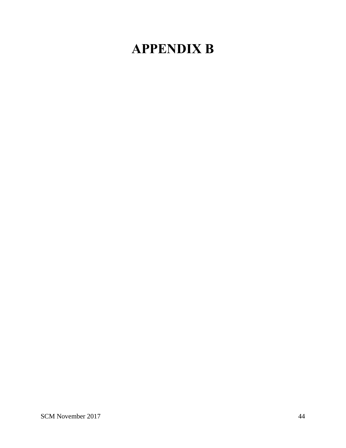# **APPENDIX B**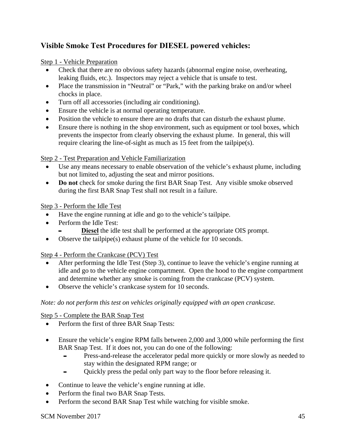#### **Visible Smoke Test Procedures for DIESEL powered vehicles:**

#### Step 1 - Vehicle Preparation

- Check that there are no obvious safety hazards (abnormal engine noise, overheating, leaking fluids, etc.). Inspectors may reject a vehicle that is unsafe to test.
- Place the transmission in "Neutral" or "Park," with the parking brake on and/or wheel chocks in place.
- Turn off all accessories (including air conditioning).
- Ensure the vehicle is at normal operating temperature.
- Position the vehicle to ensure there are no drafts that can disturb the exhaust plume.
- Ensure there is nothing in the shop environment, such as equipment or tool boxes, which prevents the inspector from clearly observing the exhaust plume. In general, this will require clearing the line-of-sight as much as 15 feet from the tailpipe(s).

#### Step 2 - Test Preparation and Vehicle Familiarization

- Use any means necessary to enable observation of the vehicle's exhaust plume, including but not limited to, adjusting the seat and mirror positions.
- **Do not** check for smoke during the first BAR Snap Test. Any visible smoke observed during the first BAR Snap Test shall not result in a failure.

Step 3 - Perform the Idle Test

- Have the engine running at idle and go to the vehicle's tailpipe.
- Perform the Idle Test:
	- **Diesel** the idle test shall be performed at the appropriate OIS prompt.
- Observe the tailpipe(s) exhaust plume of the vehicle for 10 seconds.

#### Step 4 - Perform the Crankcase (PCV) Test

- After performing the Idle Test (Step 3), continue to leave the vehicle's engine running at idle and go to the vehicle engine compartment. Open the hood to the engine compartment and determine whether any smoke is coming from the crankcase (PCV) system.
- Observe the vehicle's crankcase system for 10 seconds.

#### *Note: do not perform this test on vehicles originally equipped with an open crankcase.*

#### Step 5 - Complete the BAR Snap Test

- Perform the first of three BAR Snap Tests:
- Ensure the vehicle's engine RPM falls between 2,000 and 3,000 while performing the first BAR Snap Test. If it does not, you can do one of the following:
	- Press-and-release the accelerator pedal more quickly or more slowly as needed to stay within the designated RPM range; or
	- Quickly press the pedal only part way to the floor before releasing it.
- Continue to leave the vehicle's engine running at idle.
- Perform the final two BAR Snap Tests.
- Perform the second BAR Snap Test while watching for visible smoke.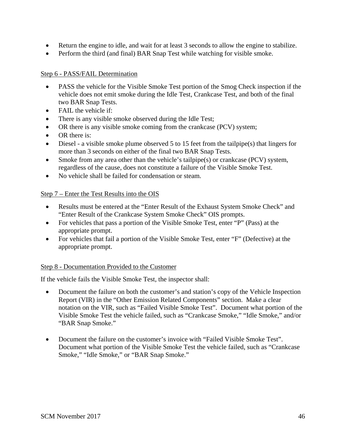- Return the engine to idle, and wait for at least 3 seconds to allow the engine to stabilize.
- Perform the third (and final) BAR Snap Test while watching for visible smoke.

#### Step 6 - PASS/FAIL Determination

- PASS the vehicle for the Visible Smoke Test portion of the Smog Check inspection if the vehicle does not emit smoke during the Idle Test, Crankcase Test, and both of the final two BAR Snap Tests.
- FAIL the vehicle if:
- There is any visible smoke observed during the Idle Test;
- OR there is any visible smoke coming from the crankcase (PCV) system;
- OR there is:
- Diesel a visible smoke plume observed 5 to 15 feet from the tailpipe(s) that lingers for more than 3 seconds on either of the final two BAR Snap Tests.
- Smoke from any area other than the vehicle's tailpipe(s) or crankcase (PCV) system, regardless of the cause, does not constitute a failure of the Visible Smoke Test.
- No vehicle shall be failed for condensation or steam.

#### Step 7 – Enter the Test Results into the OIS

- Results must be entered at the "Enter Result of the Exhaust System Smoke Check" and "Enter Result of the Crankcase System Smoke Check" OIS prompts.
- For vehicles that pass a portion of the Visible Smoke Test, enter "P" (Pass) at the appropriate prompt.
- For vehicles that fail a portion of the Visible Smoke Test, enter "F" (Defective) at the appropriate prompt.

#### Step 8 - Documentation Provided to the Customer

If the vehicle fails the Visible Smoke Test, the inspector shall:

- Document the failure on both the customer's and station's copy of the Vehicle Inspection Report (VIR) in the "Other Emission Related Components" section. Make a clear notation on the VIR, such as "Failed Visible Smoke Test". Document what portion of the Visible Smoke Test the vehicle failed, such as "Crankcase Smoke," "Idle Smoke," and/or "BAR Snap Smoke."
- Document the failure on the customer's invoice with "Failed Visible Smoke Test". Document what portion of the Visible Smoke Test the vehicle failed, such as "Crankcase Smoke," "Idle Smoke," or "BAR Snap Smoke."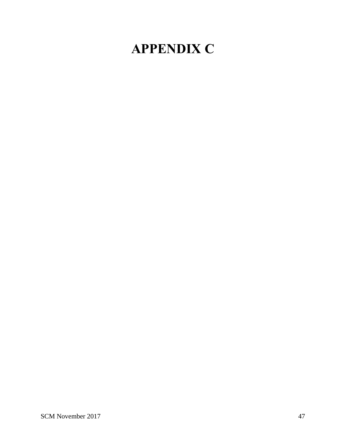# <span id="page-48-0"></span>**APPENDIX C**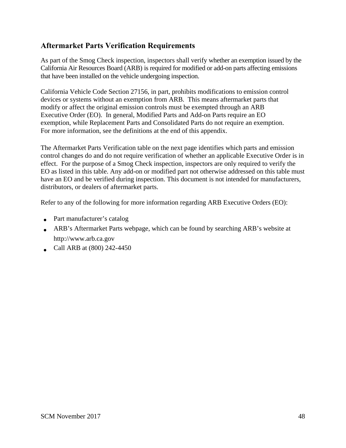#### **Aftermarket Parts Verification Requirements**

As part of the Smog Check inspection, inspectors shall verify whether an exemption issued by the California Air Resources Board (ARB) is required for modified or add-on parts affecting emissions that have been installed on the vehicle undergoing inspection.

California Vehicle Code Section 27156, in part, prohibits modifications to emission control devices or systems without an exemption from ARB. This means aftermarket parts that modify or affect the original emission controls must be exempted through an ARB Executive Order (EO). In general, Modified Parts and Add-on Parts require an EO exemption, while Replacement Parts and Consolidated Parts do not require an exemption. For more information, see the definitions at the end of this appendix.

The Aftermarket Parts Verification table on the next page identifies which parts and emission control changes do and do not require verification of whether an applicable Executive Order is in effect. For the purpose of a Smog Check inspection, inspectors are only required to verify the EO as listed in this table. Any add-on or modified part not otherwise addressed on this table must have an EO and be verified during inspection. This document is not intended for manufacturers, distributors, or dealers of aftermarket parts.

Refer to any of the following for more information regarding ARB Executive Orders (EO):

- Part manufacturer's catalog
- ARB's Aftermarket Parts webpage, which can be found by searching ARB's website at [http://www.arb.ca.gov](http://www.arb.ca.gov/)
- Call ARB at  $(800)$  242-4450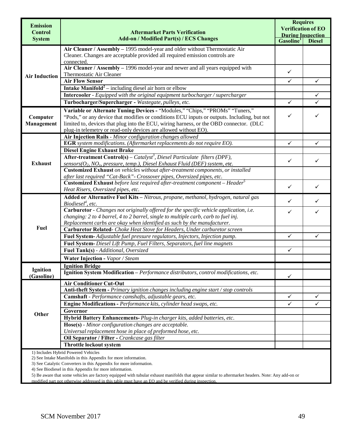| <b>Emission</b>      |                                                                                                                                     | <b>Requires</b><br><b>Verification of EO</b> |               |  |
|----------------------|-------------------------------------------------------------------------------------------------------------------------------------|----------------------------------------------|---------------|--|
| <b>Control</b>       | <b>Aftermarket Parts Verification</b>                                                                                               | <b>During Inspection</b>                     |               |  |
| <b>System</b>        | <b>Add-on / Modified Part(s) / ECS Changes</b>                                                                                      | Gasoline <sup>1</sup>                        | <b>Diesel</b> |  |
|                      | Air Cleaner / Assembly - 1995 model-year and older without Thermostatic Air                                                         |                                              |               |  |
|                      | Cleaner. Changes are acceptable provided all required emission controls are                                                         |                                              |               |  |
|                      | connected.<br>Air Cleaner / Assembly - 1996 model-year and newer and all years equipped with                                        |                                              |               |  |
|                      | Thermostatic Air Cleaner                                                                                                            | ✓                                            |               |  |
| <b>Air Induction</b> | <b>Air Flow Sensor</b>                                                                                                              | $\checkmark$                                 | ✓             |  |
|                      | <b>Intake Manifold<sup>2</sup></b> – including diesel air horn or elbow                                                             |                                              |               |  |
|                      | Intercooler - Equipped with the original equipment turbocharger / supercharger                                                      |                                              | ✓             |  |
|                      | Turbocharger/Supercharger - Wastegate, pulleys, etc.                                                                                | $\checkmark$                                 |               |  |
|                      | Variable or Alternate Tuning Devices - "Modules," "Chips," "PROMs" "Tuners,"                                                        |                                              |               |  |
| Computer             | "Pods," or any device that modifies or conditions ECU inputs or outputs. Including, but not                                         | ✓                                            |               |  |
| Management           | limited to, devices that plug into the ECU, wiring harness, or the OBD connector. (DLC                                              |                                              |               |  |
|                      | plug-in telemetry or read-only devices are allowed without EO).                                                                     |                                              |               |  |
|                      | <b>Air Injection Rails - Minor configuration changes allowed</b>                                                                    |                                              |               |  |
|                      | EGR system modifications. (Aftermarket replacements do not require EO).                                                             | ✓                                            | ✓             |  |
|                      | <b>Diesel Engine Exhaust Brake</b><br><b>After-treatment Control(s)</b> – Catalyst <sup>3</sup> , Diesel Particulate filters (DPF), |                                              |               |  |
| <b>Exhaust</b>       | sensors( $O_2$ , NO <sub>x</sub> , pressure, temp.), Diesel Exhaust Fluid (DEF) system, etc.                                        | $\checkmark$                                 | ✓             |  |
|                      | Customized Exhaust on vehicles without after-treatment components, or installed                                                     |                                              |               |  |
|                      | after last required "Cat-Back" - Crossover pipes, Oversized pipes, etc.                                                             |                                              |               |  |
|                      | Customized Exhaust before last required after-treatment component - Header <sup>5</sup>                                             | $\checkmark$                                 |               |  |
|                      | Heat Risers, Oversized pipes, etc.                                                                                                  |                                              | ✓             |  |
|                      | Added or Alternative Fuel Kits - Nitrous, propane, methanol, hydrogen, natural gas<br>$Biodiesel^4, etc.$                           | ✓                                            | ✓             |  |
|                      | Carburetor - Changes not originally offered for the specific vehicle application, i.e.                                              | ✓                                            | ✓             |  |
|                      | changing: 2 to 4 barrel, 4 to 2 barrel, single to multiple carb, carb to fuel inj.                                                  |                                              |               |  |
|                      | Replacement carbs are okay when identified as such by the manufacturer.                                                             |                                              |               |  |
| Fuel                 | Carburetor Related- Choke Heat Stove for Headers, Under carburetor screen                                                           |                                              |               |  |
|                      | Fuel System- Adjustable fuel pressure regulators, Injectors, Injection pump.                                                        | $\checkmark$                                 | $\checkmark$  |  |
|                      | Fuel System- Diesel Lift Pump, Fuel Filters, Separators, fuel line magnets                                                          |                                              |               |  |
|                      | Fuel Tank(s) - Additional, Oversized                                                                                                | $\checkmark$                                 |               |  |
|                      | Water Injection - Vapor / Steam                                                                                                     |                                              |               |  |
| <b>Ignition</b>      | <b>Ignition Bridge</b>                                                                                                              |                                              |               |  |
| (Gasoline)           | Ignition System Modification - Performance distributors, control modifications, etc.                                                | $\checkmark$                                 |               |  |
|                      | <b>Air Conditioner Cut-Out</b>                                                                                                      |                                              |               |  |
|                      | Anti-theft System - Primary ignition changes including engine start / stop controls                                                 |                                              |               |  |
|                      | Camshaft - Performance camshafts, adjustable gears, etc.                                                                            | $\checkmark$                                 | ✓             |  |
|                      | Engine Modifications - Performance kits, cylinder head swaps, etc.                                                                  | ✓                                            | ✓             |  |
| Other                | Governor                                                                                                                            |                                              |               |  |
|                      | Hybrid Battery Enhancements-Plug-in charger kits, added batteries, etc.                                                             |                                              |               |  |
|                      | Hose(s) - Minor configuration changes are acceptable.                                                                               |                                              |               |  |
|                      | Universal replacement hose in place of preformed hose, etc.                                                                         |                                              |               |  |
|                      | Oil Separator / Filter - Crankcase gas filter                                                                                       |                                              |               |  |
|                      | Throttle lockout system                                                                                                             |                                              |               |  |
|                      | 1) Includes Hybrid Powered Vehicles<br>2) See Intake Manifolds in this Appendix for more information.                               |                                              |               |  |

3) See Catalytic Converters in this Appendix for more information.

4) See Biodiesel in this Appendix for more information.

5) Be aware that some vehicles are factory equipped with tubular exhaust manifolds that appear similar to aftermarket headers. Note: Any add-on or modified part not otherwise addressed in this table must have an EO and be verified during inspection.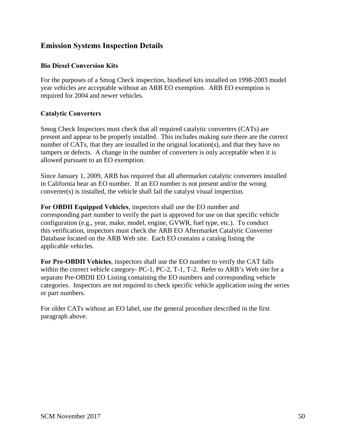#### **Emission Systems Inspection Details**

#### **Bio Diesel Conversion Kits**

For the purposes of a Smog Check inspection, biodiesel kits installed on 1998-2003 model year vehicles are acceptable without an ARB EO exemption. ARB EO exemption is required for 2004 and newer vehicles.

#### **Catalytic Converters**

Smog Check Inspectors must check that all required catalytic converters (CATs) are present and appear to be properly installed. This includes making sure there are the correct number of CATs, that they are installed in the original location(s), and that they have no tampers or defects. A change in the number of converters is only acceptable when it is allowed pursuant to an EO exemption.

Since January 1, 2009, ARB has required that all aftermarket catalytic converters installed in California bear an EO number. If an EO number is not present and/or the wrong converter(s) is installed, the vehicle shall fail the catalyst visual inspection.

**For OBDII Equipped Vehicles**, inspectors shall use the EO number and corresponding part number to verify the part is approved for use on that specific vehicle configuration (e.g., year, make, model, engine, GVWR, fuel type, etc.). To conduct this verification, inspectors must check the ARB EO Aftermarket Catalytic Converter Database located on the ARB Web site. Each EO contains a catalog listing the applicable vehicles.

**For Pre-OBDII Vehicles**, inspectors shall use the EO number to verify the CAT falls within the correct vehicle category- PC-1, PC-2, T-1, T-2. Refer to ARB's Web site for a separate Pre-OBDII EO Listing containing the EO numbers and corresponding vehicle categories. Inspectors are not required to check specific vehicle application using the series or part numbers.

For older CATs without an EO label, use the general procedure described in the first paragraph above.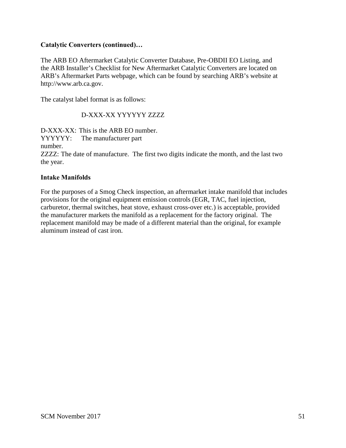#### **Catalytic Converters (continued)…**

The ARB EO Aftermarket Catalytic Converter Database, Pre-OBDII EO Listing, and the ARB Installer's Checklist for New Aftermarket Catalytic Converters are located on ARB's Aftermarket Parts webpage, which can be found by searching ARB's website at http://www.arb.ca.gov.

The catalyst label format is as follows:

#### D-XXX-XX YYYYYY ZZZZ

D-XXX-XX: This is the ARB EO number. YYYYYY: The manufacturer part number. ZZZZ: The date of manufacture. The first two digits indicate the month, and the last two the year.

#### **Intake Manifolds**

For the purposes of a Smog Check inspection, an aftermarket intake manifold that includes provisions for the original equipment emission controls (EGR, TAC, fuel injection, carburetor, thermal switches, heat stove, exhaust cross-over etc.) is acceptable, provided the manufacturer markets the manifold as a replacement for the factory original. The replacement manifold may be made of a different material than the original, for example aluminum instead of cast iron.